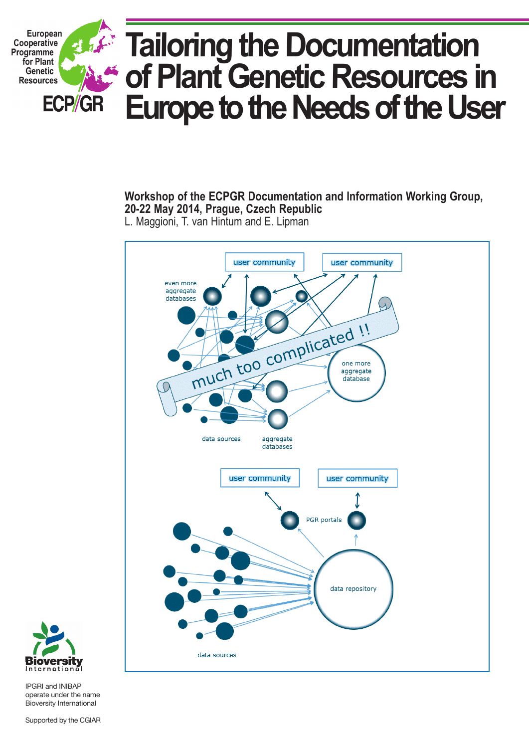

**Workshop of the ECPGR Documentation and Information Working Group, 20-22 May 2014, Prague, Czech Republic** L. Maggioni, T. van Hintum and E. Lipman





IPGRI and INIBAP operate under the name Bioversity International

Supported by the CGIAR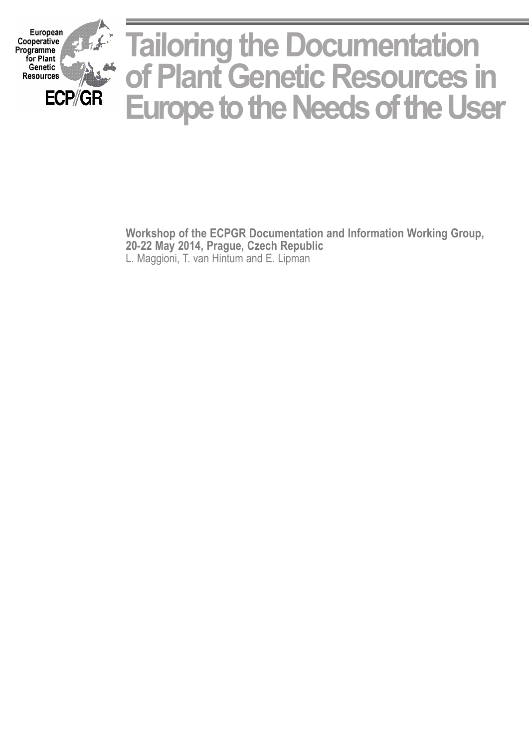

**Workshop of the ECPGR Documentation and Information Working Group, 20-22 May 2014, Prague, Czech Republic** L. Maggioni, T. van Hintum and E. Lipman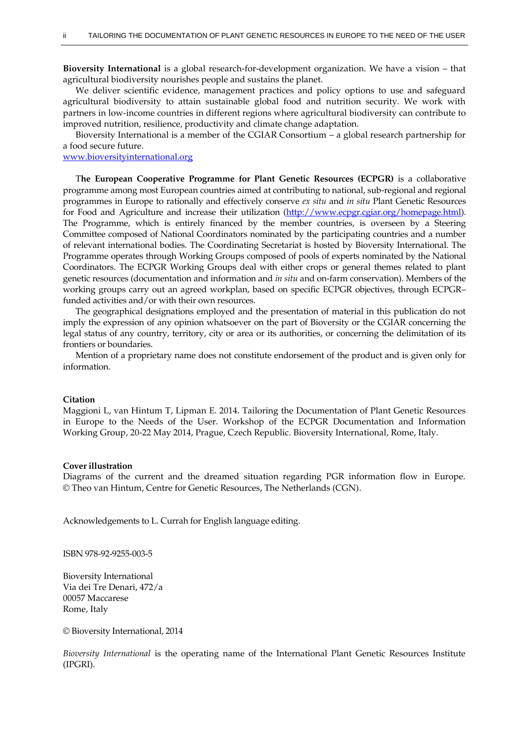**Bioversity International** is a global research-for-development organization. We have a vision – that agricultural biodiversity nourishes people and sustains the planet.

We deliver scientific evidence, management practices and policy options to use and safeguard agricultural biodiversity to attain sustainable global food and nutrition security. We work with partners in low-income countries in different regions where agricultural biodiversity can contribute to improved nutrition, resilience, productivity and climate change adaptation.

Bioversity International is a member of the CGIAR Consortium – a global research partnership for a food secure future.

#### [www.bioversityinternational.org](http://www.bioversityinternational.org/)

T**he European Cooperative Programme for Plant Genetic Resources (ECPGR)** is a collaborative programme among most European countries aimed at contributing to national, sub-regional and regional programmes in Europe to rationally and effectively conserve *ex situ* and *in situ* Plant Genetic Resources for Food and Agriculture and increase their utilization [\(http://www.ecpgr.cgiar.org/homepage.html\)](http://www.ecpgr.cgiar.org/homepage.html). The Programme, which is entirely financed by the member countries, is overseen by a Steering Committee composed of National Coordinators nominated by the participating countries and a number of relevant international bodies. The Coordinating Secretariat is hosted by Bioversity International. The Programme operates through Working Groups composed of pools of experts nominated by the National Coordinators. The ECPGR Working Groups deal with either crops or general themes related to plant genetic resources (documentation and information and *in situ* and on-farm conservation). Members of the working groups carry out an agreed workplan, based on specific ECPGR objectives, through ECPGR– funded activities and/or with their own resources.

The geographical designations employed and the presentation of material in this publication do not imply the expression of any opinion whatsoever on the part of Bioversity or the CGIAR concerning the legal status of any country, territory, city or area or its authorities, or concerning the delimitation of its frontiers or boundaries.

Mention of a proprietary name does not constitute endorsement of the product and is given only for information.

#### **Citation**

Maggioni L, van Hintum T, Lipman E. 2014. Tailoring the Documentation of Plant Genetic Resources in Europe to the Needs of the User. Workshop of the ECPGR Documentation and Information Working Group, 20-22 May 2014, Prague, Czech Republic. Bioversity International, Rome, Italy.

#### **Cover illustration**

Diagrams of the current and the dreamed situation regarding PGR information flow in Europe. © Theo van Hintum, Centre for Genetic Resources, The Netherlands (CGN).

Acknowledgements to L. Currah for English language editing.

ISBN 978-92-9255-003-5

Bioversity International Via dei Tre Denari, 472/a 00057 Maccarese Rome, Italy

© Bioversity International, 2014

*Bioversity International* is the operating name of the International Plant Genetic Resources Institute (IPGRI).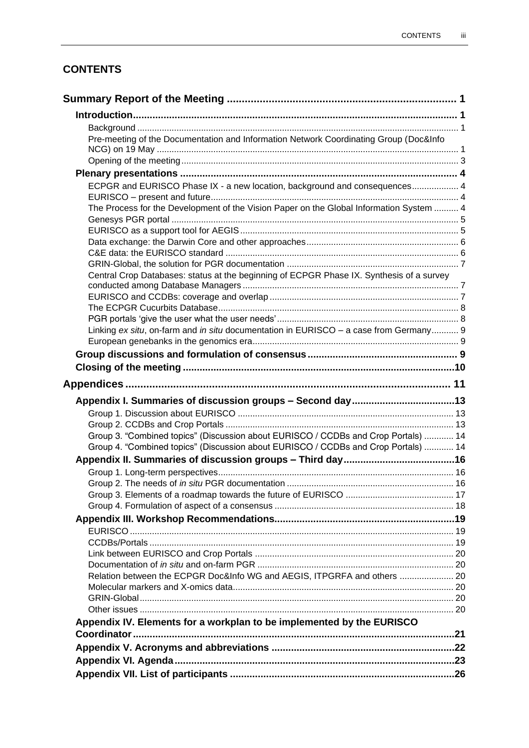# **CONTENTS**

| Pre-meeting of the Documentation and Information Network Coordinating Group (Doc&Info    |  |
|------------------------------------------------------------------------------------------|--|
|                                                                                          |  |
|                                                                                          |  |
|                                                                                          |  |
| ECPGR and EURISCO Phase IX - a new location, background and consequences 4               |  |
|                                                                                          |  |
| The Process for the Development of the Vision Paper on the Global Information System  4  |  |
|                                                                                          |  |
|                                                                                          |  |
|                                                                                          |  |
|                                                                                          |  |
|                                                                                          |  |
| Central Crop Databases: status at the beginning of ECPGR Phase IX. Synthesis of a survey |  |
|                                                                                          |  |
|                                                                                          |  |
|                                                                                          |  |
|                                                                                          |  |
| Linking ex situ, on-farm and in situ documentation in EURISCO - a case from Germany 9    |  |
|                                                                                          |  |
|                                                                                          |  |
|                                                                                          |  |
|                                                                                          |  |
|                                                                                          |  |
|                                                                                          |  |
|                                                                                          |  |
| Group 3. "Combined topics" (Discussion about EURISCO / CCDBs and Crop Portals)  14       |  |
| Group 4. "Combined topics" (Discussion about EURISCO / CCDBs and Crop Portals)  14       |  |
|                                                                                          |  |
|                                                                                          |  |
|                                                                                          |  |
|                                                                                          |  |
|                                                                                          |  |
|                                                                                          |  |
|                                                                                          |  |
|                                                                                          |  |
|                                                                                          |  |
|                                                                                          |  |
| Relation between the ECPGR Doc&Info WG and AEGIS, ITPGRFA and others  20                 |  |
|                                                                                          |  |
|                                                                                          |  |
|                                                                                          |  |
| Appendix IV. Elements for a workplan to be implemented by the EURISCO                    |  |
|                                                                                          |  |
|                                                                                          |  |
|                                                                                          |  |
|                                                                                          |  |
|                                                                                          |  |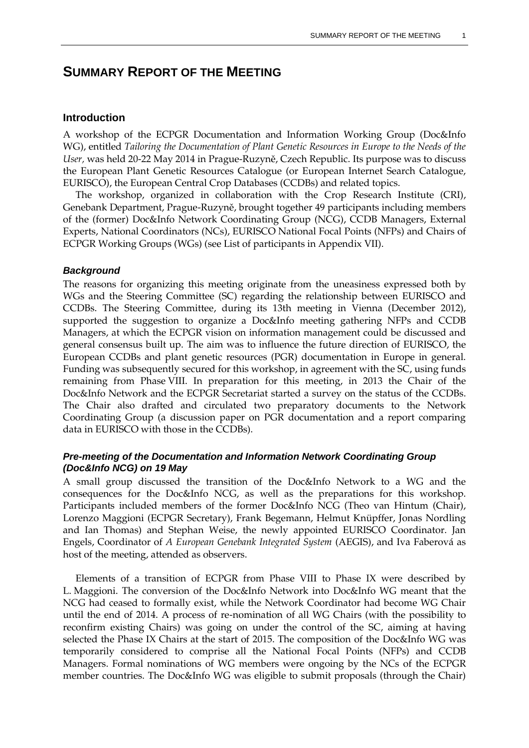# **SUMMARY REPORT OF THE MEETING**

### **Introduction**

A workshop of the ECPGR Documentation and Information Working Group (Doc&Info WG), entitled *Tailoring the Documentation of Plant Genetic Resources in Europe to the Needs of the User,* was held 20-22 May 2014 in Prague-Ruzyně, Czech Republic. Its purpose was to discuss the European Plant Genetic Resources Catalogue (or European Internet Search Catalogue, EURISCO), the European Central Crop Databases (CCDBs) and related topics.

The workshop, organized in collaboration with the Crop Research Institute (CRI), Genebank Department, Prague-Ruzyně, brought together 49 participants including members of the (former) Doc&Info Network Coordinating Group (NCG), CCDB Managers, External Experts, National Coordinators (NCs), EURISCO National Focal Points (NFPs) and Chairs of ECPGR Working Groups (WGs) (see List of participants in Appendix VII).

#### *Background*

The reasons for organizing this meeting originate from the uneasiness expressed both by WGs and the Steering Committee (SC) regarding the relationship between EURISCO and CCDBs. The Steering Committee, during its 13th meeting in Vienna (December 2012), supported the suggestion to organize a Doc&Info meeting gathering NFPs and CCDB Managers, at which the ECPGR vision on information management could be discussed and general consensus built up. The aim was to influence the future direction of EURISCO, the European CCDBs and plant genetic resources (PGR) documentation in Europe in general. Funding was subsequently secured for this workshop, in agreement with the SC, using funds remaining from Phase VIII. In preparation for this meeting, in 2013 the Chair of the Doc&Info Network and the ECPGR Secretariat started a survey on the status of the CCDBs. The Chair also drafted and circulated two preparatory documents to the Network Coordinating Group (a discussion paper on PGR documentation and a report comparing data in EURISCO with those in the CCDBs).

### *Pre-meeting of the Documentation and Information Network Coordinating Group (Doc&Info NCG) on 19 May*

A small group discussed the transition of the Doc&Info Network to a WG and the consequences for the Doc&Info NCG, as well as the preparations for this workshop. Participants included members of the former Doc&Info NCG (Theo van Hintum (Chair), Lorenzo Maggioni (ECPGR Secretary), Frank Begemann, Helmut Knüpffer, Jonas Nordling and Ian Thomas) and Stephan Weise, the newly appointed EURISCO Coordinator. Jan Engels, Coordinator of *A European Genebank Integrated System* (AEGIS), and Iva Faberová as host of the meeting, attended as observers.

Elements of a transition of ECPGR from Phase VIII to Phase IX were described by L. Maggioni. The conversion of the Doc&Info Network into Doc&Info WG meant that the NCG had ceased to formally exist, while the Network Coordinator had become WG Chair until the end of 2014. A process of re-nomination of all WG Chairs (with the possibility to reconfirm existing Chairs) was going on under the control of the SC, aiming at having selected the Phase IX Chairs at the start of 2015. The composition of the Doc&Info WG was temporarily considered to comprise all the National Focal Points (NFPs) and CCDB Managers. Formal nominations of WG members were ongoing by the NCs of the ECPGR member countries. The Doc&Info WG was eligible to submit proposals (through the Chair)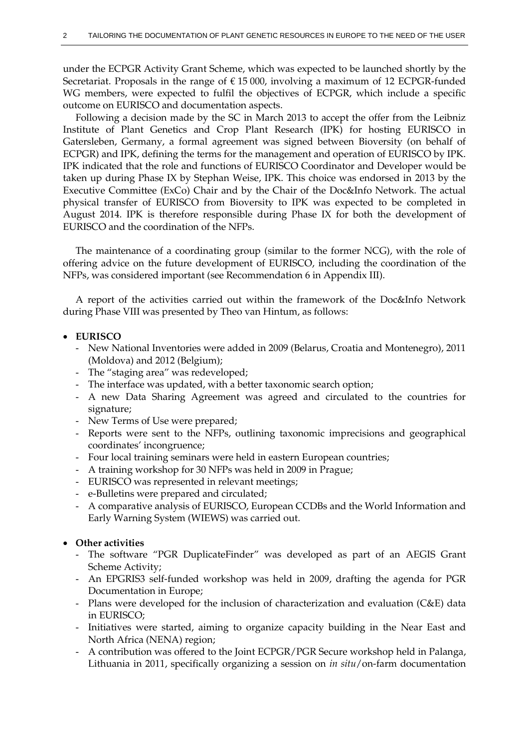under the ECPGR Activity Grant Scheme, which was expected to be launched shortly by the Secretariat. Proposals in the range of  $\epsilon$  15 000, involving a maximum of 12 ECPGR-funded WG members, were expected to fulfil the objectives of ECPGR, which include a specific outcome on EURISCO and documentation aspects.

Following a decision made by the SC in March 2013 to accept the offer from the Leibniz Institute of Plant Genetics and Crop Plant Research (IPK) for hosting EURISCO in Gatersleben, Germany, a formal agreement was signed between Bioversity (on behalf of ECPGR) and IPK, defining the terms for the management and operation of EURISCO by IPK. IPK indicated that the role and functions of EURISCO Coordinator and Developer would be taken up during Phase IX by Stephan Weise, IPK. This choice was endorsed in 2013 by the Executive Committee (ExCo) Chair and by the Chair of the Doc&Info Network. The actual physical transfer of EURISCO from Bioversity to IPK was expected to be completed in August 2014. IPK is therefore responsible during Phase IX for both the development of EURISCO and the coordination of the NFPs.

The maintenance of a coordinating group (similar to the former NCG), with the role of offering advice on the future development of EURISCO, including the coordination of the NFPs, was considered important (see Recommendation 6 in Appendix III).

A report of the activities carried out within the framework of the Doc&Info Network during Phase VIII was presented by Theo van Hintum, as follows:

#### **EURISCO**

- New National Inventories were added in 2009 (Belarus, Croatia and Montenegro), 2011 (Moldova) and 2012 (Belgium);
- The "staging area" was redeveloped;
- The interface was updated, with a better taxonomic search option;
- A new Data Sharing Agreement was agreed and circulated to the countries for signature;
- New Terms of Use were prepared;
- Reports were sent to the NFPs, outlining taxonomic imprecisions and geographical coordinates' incongruence;
- Four local training seminars were held in eastern European countries;
- A training workshop for 30 NFPs was held in 2009 in Prague;
- EURISCO was represented in relevant meetings;
- e-Bulletins were prepared and circulated;
- A comparative analysis of EURISCO, European CCDBs and the World Information and Early Warning System (WIEWS) was carried out.

### **Other activities**

- The software "PGR DuplicateFinder" was developed as part of an AEGIS Grant Scheme Activity;
- An EPGRIS3 self-funded workshop was held in 2009, drafting the agenda for PGR Documentation in Europe;
- Plans were developed for the inclusion of characterization and evaluation (C&E) data in EURISCO;
- Initiatives were started, aiming to organize capacity building in the Near East and North Africa (NENA) region;
- A contribution was offered to the Joint ECPGR/PGR Secure workshop held in Palanga, Lithuania in 2011, specifically organizing a session on *in situ*/on-farm documentation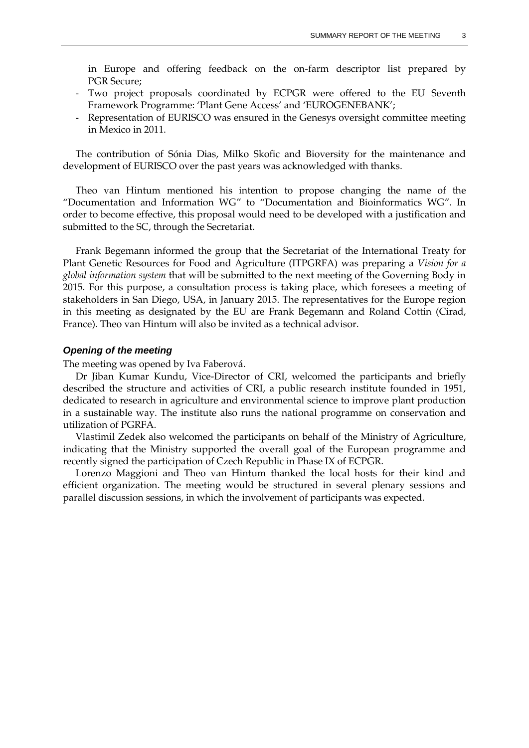in Europe and offering feedback on the on-farm descriptor list prepared by PGR Secure;

- Two project proposals coordinated by ECPGR were offered to the EU Seventh Framework Programme: 'Plant Gene Access' and 'EUROGENEBANK';
- Representation of EURISCO was ensured in the Genesys oversight committee meeting in Mexico in 2011.

The contribution of Sónia Dias, Milko Skofic and Bioversity for the maintenance and development of EURISCO over the past years was acknowledged with thanks.

Theo van Hintum mentioned his intention to propose changing the name of the "Documentation and Information WG" to "Documentation and Bioinformatics WG". In order to become effective, this proposal would need to be developed with a justification and submitted to the SC, through the Secretariat.

Frank Begemann informed the group that the Secretariat of the International Treaty for Plant Genetic Resources for Food and Agriculture (ITPGRFA) was preparing a *Vision for a global information system* that will be submitted to the next meeting of the Governing Body in 2015. For this purpose, a consultation process is taking place, which foresees a meeting of stakeholders in San Diego, USA, in January 2015. The representatives for the Europe region in this meeting as designated by the EU are Frank Begemann and Roland Cottin (Cirad, France). Theo van Hintum will also be invited as a technical advisor.

#### *Opening of the meeting*

The meeting was opened by Iva Faberová.

Dr Jiban Kumar Kundu, Vice-Director of CRI, welcomed the participants and briefly described the structure and activities of CRI, a public research institute founded in 1951, dedicated to research in agriculture and environmental science to improve plant production in a sustainable way. The institute also runs the national programme on conservation and utilization of PGRFA.

Vlastimil Zedek also welcomed the participants on behalf of the Ministry of Agriculture, indicating that the Ministry supported the overall goal of the European programme and recently signed the participation of Czech Republic in Phase IX of ECPGR.

Lorenzo Maggioni and Theo van Hintum thanked the local hosts for their kind and efficient organization. The meeting would be structured in several plenary sessions and parallel discussion sessions, in which the involvement of participants was expected.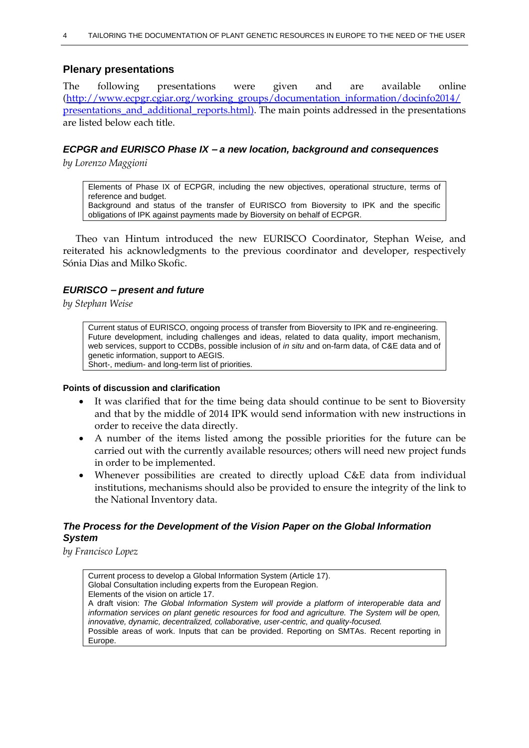### **Plenary presentations**

The following presentations were given and are available online [\(http://www.ecpgr.cgiar.org/working\\_groups/documentation\\_information/docinfo2014/](http://www.ecpgr.cgiar.org/working_groups/documentation_information/docinfo2014/presentations_and_additional_reports.html) [presentations\\_and\\_additional\\_reports.html\)](http://www.ecpgr.cgiar.org/working_groups/documentation_information/docinfo2014/presentations_and_additional_reports.html). The main points addressed in the presentations are listed below each title.

### *ECPGR and EURISCO Phase IX – a new location, background and consequences*

*by Lorenzo Maggioni*

Elements of Phase IX of ECPGR, including the new objectives, operational structure, terms of reference and budget. Background and status of the transfer of EURISCO from Bioversity to IPK and the specific obligations of IPK against payments made by Bioversity on behalf of ECPGR.

Theo van Hintum introduced the new EURISCO Coordinator, Stephan Weise, and reiterated his acknowledgments to the previous coordinator and developer, respectively Sónia Dias and Milko Skofic.

### *EURISCO – present and future*

*by Stephan Weise*

Current status of EURISCO, ongoing process of transfer from Bioversity to IPK and re-engineering. Future development, including challenges and ideas, related to data quality, import mechanism, web services, support to CCDBs, possible inclusion of *in situ* and on-farm data, of C&E data and of genetic information, support to AEGIS. Short-, medium- and long-term list of priorities.

#### **Points of discussion and clarification**

- It was clarified that for the time being data should continue to be sent to Bioversity and that by the middle of 2014 IPK would send information with new instructions in order to receive the data directly.
- A number of the items listed among the possible priorities for the future can be carried out with the currently available resources; others will need new project funds in order to be implemented.
- Whenever possibilities are created to directly upload C&E data from individual institutions, mechanisms should also be provided to ensure the integrity of the link to the National Inventory data.

### *The Process for the Development of the Vision Paper on the Global Information System*

*by Francisco Lopez*

Current process to develop a Global Information System (Article 17). Global Consultation including experts from the European Region. Elements of the vision on article 17. A draft vision: *The Global Information System will provide a platform of interoperable data and information services on plant genetic resources for food and agriculture. The System will be open, innovative, dynamic, decentralized, collaborative, user-centric, and quality-focused.* Possible areas of work. Inputs that can be provided. Reporting on SMTAs. Recent reporting in Europe.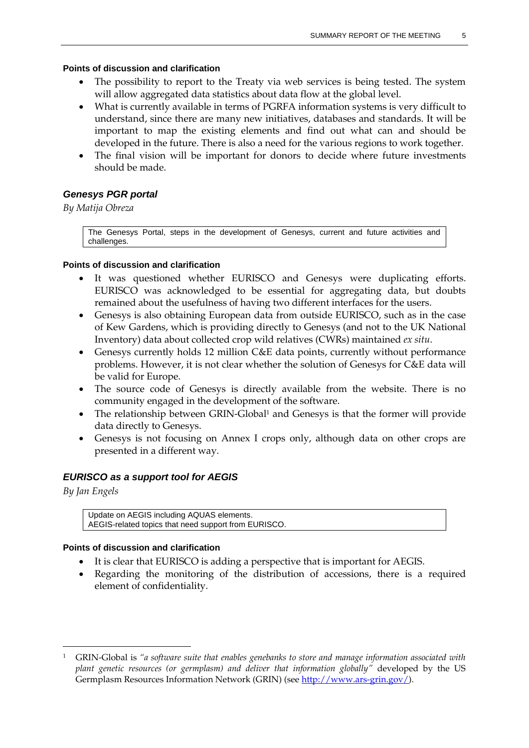#### **Points of discussion and clarification**

- The possibility to report to the Treaty via web services is being tested. The system will allow aggregated data statistics about data flow at the global level.
- What is currently available in terms of PGRFA information systems is very difficult to understand, since there are many new initiatives, databases and standards. It will be important to map the existing elements and find out what can and should be developed in the future. There is also a need for the various regions to work together.
- The final vision will be important for donors to decide where future investments should be made.

### *Genesys PGR portal*

### *By Matija Obreza*

The Genesys Portal, steps in the development of Genesys, current and future activities and challenges.

#### **Points of discussion and clarification**

- It was questioned whether EURISCO and Genesys were duplicating efforts. EURISCO was acknowledged to be essential for aggregating data, but doubts remained about the usefulness of having two different interfaces for the users.
- Genesys is also obtaining European data from outside EURISCO, such as in the case of Kew Gardens, which is providing directly to Genesys (and not to the UK National Inventory) data about collected crop wild relatives (CWRs) maintained *ex situ*.
- Genesys currently holds 12 million C&E data points, currently without performance problems. However, it is not clear whether the solution of Genesys for C&E data will be valid for Europe.
- The source code of Genesys is directly available from the website. There is no community engaged in the development of the software.
- The relationship between GRIN-Global<sup>1</sup> and Genesys is that the former will provide data directly to Genesys.
- Genesys is not focusing on Annex I crops only, although data on other crops are presented in a different way.

### *EURISCO as a support tool for AEGIS*

*By Jan Engels*

 $\overline{a}$ 

Update on AEGIS including AQUAS elements. AEGIS-related topics that need support from EURISCO.

- It is clear that EURISCO is adding a perspective that is important for AEGIS.
- Regarding the monitoring of the distribution of accessions, there is a required element of confidentiality.

<sup>1</sup> GRIN-Global is *"a software suite that enables genebanks to store and manage information associated with plant genetic resources (or germplasm) and deliver that information globally"* developed by the US Germplasm Resources Information Network (GRIN) (see [http://www.ars-grin.gov/\)](http://www.ars-grin.gov/).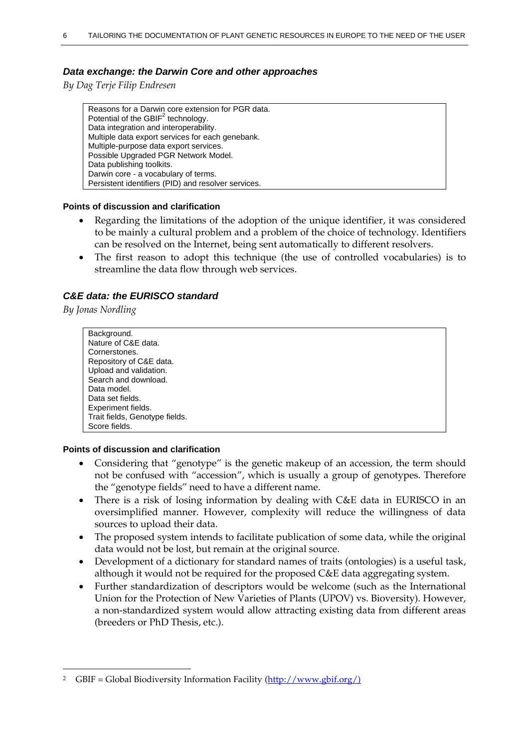### *Data exchange: the Darwin Core and other approaches*

*By Dag Terje Filip Endresen*

Reasons for a Darwin core extension for PGR data. Potential of the  $GBIF<sup>2</sup>$  technology. Data integration and interoperability. Multiple data export services for each genebank. Multiple-purpose data export services. Possible Upgraded PGR Network Model. Data publishing toolkits. Darwin core - a vocabulary of terms. Persistent identifiers (PID) and resolver services.

#### **Points of discussion and clarification**

- Regarding the limitations of the adoption of the unique identifier, it was considered to be mainly a cultural problem and a problem of the choice of technology. Identifiers can be resolved on the Internet, being sent automatically to different resolvers.
- The first reason to adopt this technique (the use of controlled vocabularies) is to streamline the data flow through web services.

### *C&E data: the EURISCO standard*

*By Jonas Nordling*

 $\overline{a}$ 

Background. Nature of C&E data. Cornerstones. Repository of C&E data. Upload and validation. Search and download. Data model. Data set fields. Experiment fields. Trait fields, Genotype fields. Score fields.

- Considering that "genotype" is the genetic makeup of an accession, the term should not be confused with "accession", which is usually a group of genotypes. Therefore the "genotype fields" need to have a different name.
- There is a risk of losing information by dealing with C&E data in EURISCO in an oversimplified manner. However, complexity will reduce the willingness of data sources to upload their data.
- The proposed system intends to facilitate publication of some data, while the original data would not be lost, but remain at the original source.
- Development of a dictionary for standard names of traits (ontologies) is a useful task, although it would not be required for the proposed C&E data aggregating system.
- Further standardization of descriptors would be welcome (such as the International Union for the Protection of New Varieties of Plants (UPOV) vs. Bioversity). However, a non-standardized system would allow attracting existing data from different areas (breeders or PhD Thesis, etc.).

<sup>2</sup> GBIF = Global Biodiversity Information Facility [\(http://www.gbif.org/\)](http://www.gbif.org/)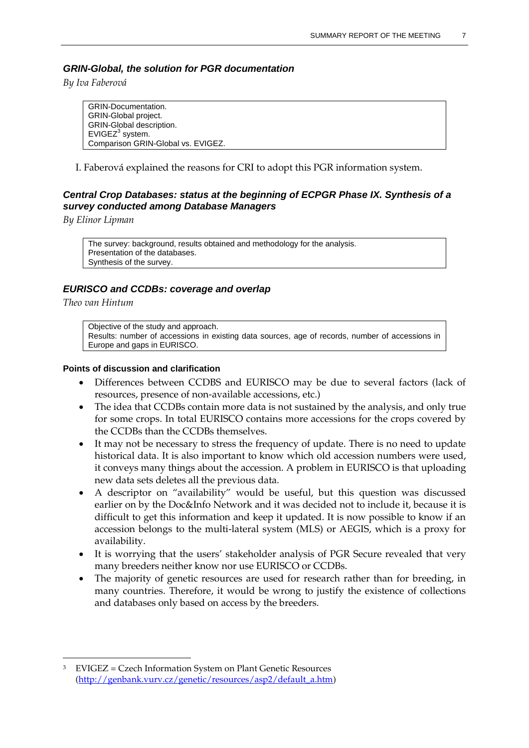### *GRIN-Global, the solution for PGR documentation*

*By Iva Faberová*

GRIN-Documentation. GRIN-Global project. GRIN-Global description. EVIGEZ<sup>3</sup> system. Comparison GRIN-Global vs. EVIGEZ.

I. Faberová explained the reasons for CRI to adopt this PGR information system.

### *Central Crop Databases: status at the beginning of ECPGR Phase IX. Synthesis of a survey conducted among Database Managers*

*By Elinor Lipman*

The survey: background, results obtained and methodology for the analysis. Presentation of the databases. Synthesis of the survey.

### *EURISCO and CCDBs: coverage and overlap*

*Theo van Hintum*

 $\overline{a}$ 

Objective of the study and approach. Results: number of accessions in existing data sources, age of records, number of accessions in Europe and gaps in EURISCO.

- Differences between CCDBS and EURISCO may be due to several factors (lack of resources, presence of non-available accessions, etc.)
- The idea that CCDBs contain more data is not sustained by the analysis, and only true for some crops. In total EURISCO contains more accessions for the crops covered by the CCDBs than the CCDBs themselves.
- It may not be necessary to stress the frequency of update. There is no need to update historical data. It is also important to know which old accession numbers were used, it conveys many things about the accession. A problem in EURISCO is that uploading new data sets deletes all the previous data.
- A descriptor on "availability" would be useful, but this question was discussed earlier on by the Doc&Info Network and it was decided not to include it, because it is difficult to get this information and keep it updated. It is now possible to know if an accession belongs to the multi-lateral system (MLS) or AEGIS, which is a proxy for availability.
- It is worrying that the users' stakeholder analysis of PGR Secure revealed that very many breeders neither know nor use EURISCO or CCDBs.
- The majority of genetic resources are used for research rather than for breeding, in many countries. Therefore, it would be wrong to justify the existence of collections and databases only based on access by the breeders.

<sup>3</sup> EVIGEZ = Czech Information System on Plant Genetic Resources [\(http://genbank.vurv.cz/genetic/resources/asp2/default\\_a.htm\)](http://genbank.vurv.cz/genetic/resources/asp2/default_a.htm)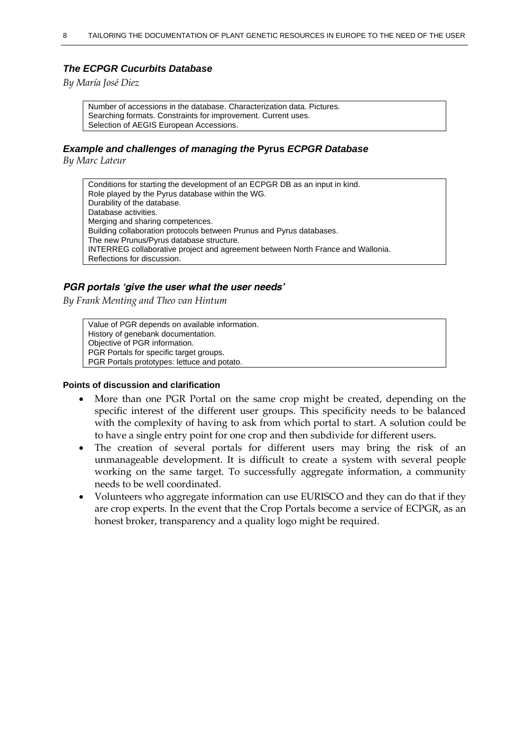### *The ECPGR Cucurbits Database*

*By María José Diez* 

Number of accessions in the database. Characterization data. Pictures. Searching formats. Constraints for improvement. Current uses. Selection of AEGIS European Accessions.

#### *Example and challenges of managing the* **Pyrus** *ECPGR Database*

*By Marc Lateur* 

Conditions for starting the development of an ECPGR DB as an input in kind. Role played by the Pyrus database within the WG. Durability of the database. Database activities. Merging and sharing competences. Building collaboration protocols between Prunus and Pyrus databases. The new Prunus/Pyrus database structure. INTERREG collaborative project and agreement between North France and Wallonia. Reflections for discussion.

#### *PGR portals 'give the user what the user needs'*

*By Frank Menting and Theo van Hintum*

Value of PGR depends on available information. History of genebank documentation. Objective of PGR information. PGR Portals for specific target groups. PGR Portals prototypes: lettuce and potato.

- More than one PGR Portal on the same crop might be created, depending on the specific interest of the different user groups. This specificity needs to be balanced with the complexity of having to ask from which portal to start. A solution could be to have a single entry point for one crop and then subdivide for different users.
- The creation of several portals for different users may bring the risk of an unmanageable development. It is difficult to create a system with several people working on the same target. To successfully aggregate information, a community needs to be well coordinated.
- Volunteers who aggregate information can use EURISCO and they can do that if they are crop experts. In the event that the Crop Portals become a service of ECPGR, as an honest broker, transparency and a quality logo might be required.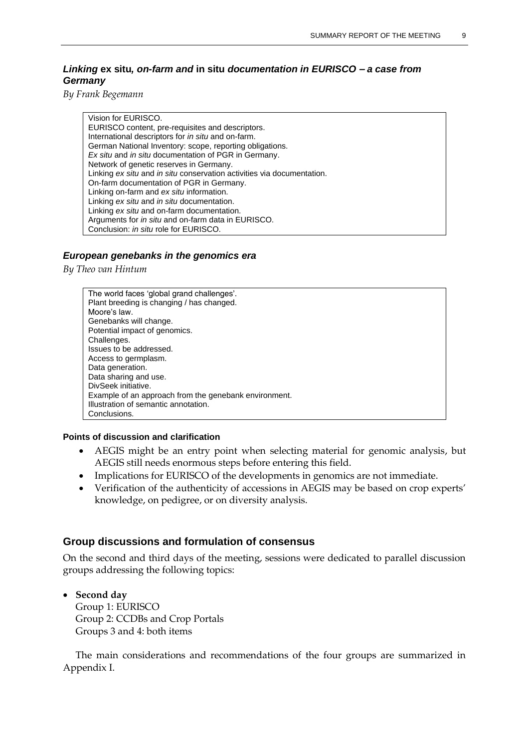### *Linking* **ex situ***, on-farm and* **in situ** *documentation in EURISCO – a case from Germany*

*By Frank Begemann* 

Vision for EURISCO. EURISCO content, pre-requisites and descriptors. International descriptors for *in situ* and on-farm. German National Inventory: scope, reporting obligations. *Ex situ* and *in situ* documentation of PGR in Germany. Network of genetic reserves in Germany. Linking *ex situ* and *in situ* conservation activities via documentation. On-farm documentation of PGR in Germany. Linking on-farm and *ex situ* information. Linking *ex situ* and *in situ* documentation. Linking *ex situ* and on-farm documentation. Arguments for *in situ* and on-farm data in EURISCO. Conclusion: *in situ* role for EURISCO.

#### *European genebanks in the genomics era*

*By Theo van Hintum*

The world faces 'global grand challenges'. Plant breeding is changing / has changed. Moore's law. Genebanks will change. Potential impact of genomics. Challenges. Issues to be addressed. Access to germplasm. Data generation. Data sharing and use. DivSeek initiative. Example of an approach from the genebank environment. Illustration of semantic annotation. **Conclusions** 

#### **Points of discussion and clarification**

- AEGIS might be an entry point when selecting material for genomic analysis, but AEGIS still needs enormous steps before entering this field.
- Implications for EURISCO of the developments in genomics are not immediate.
- Verification of the authenticity of accessions in AEGIS may be based on crop experts' knowledge, on pedigree, or on diversity analysis.

#### **Group discussions and formulation of consensus**

On the second and third days of the meeting, sessions were dedicated to parallel discussion groups addressing the following topics:

 **Second day**  Group 1: EURISCO Group 2: CCDBs and Crop Portals Groups 3 and 4: both items

The main considerations and recommendations of the four groups are summarized in Appendix I.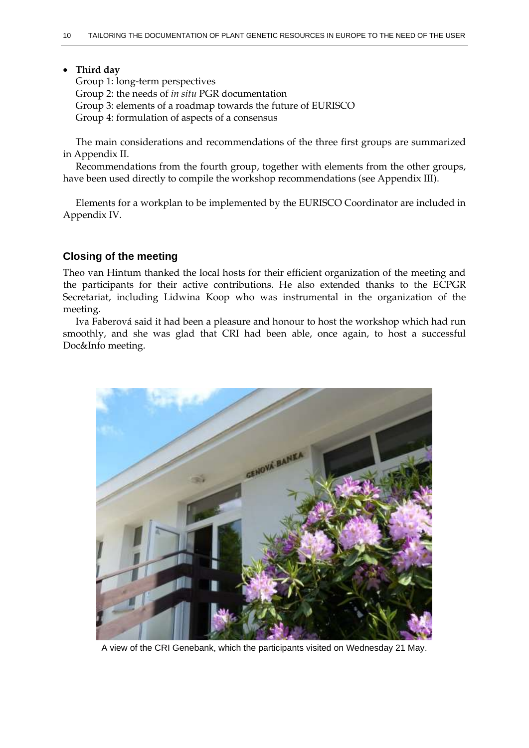#### **Third day**

Group 1: long-term perspectives Group 2: the needs of *in situ* PGR documentation Group 3: elements of a roadmap towards the future of EURISCO Group 4: formulation of aspects of a consensus

The main considerations and recommendations of the three first groups are summarized in Appendix II.

Recommendations from the fourth group, together with elements from the other groups, have been used directly to compile the workshop recommendations (see Appendix III).

Elements for a workplan to be implemented by the EURISCO Coordinator are included in Appendix IV.

### **Closing of the meeting**

Theo van Hintum thanked the local hosts for their efficient organization of the meeting and the participants for their active contributions. He also extended thanks to the ECPGR Secretariat, including Lidwina Koop who was instrumental in the organization of the meeting.

Iva Faberová said it had been a pleasure and honour to host the workshop which had run smoothly, and she was glad that CRI had been able, once again, to host a successful Doc&Info meeting.



A view of the CRI Genebank, which the participants visited on Wednesday 21 May.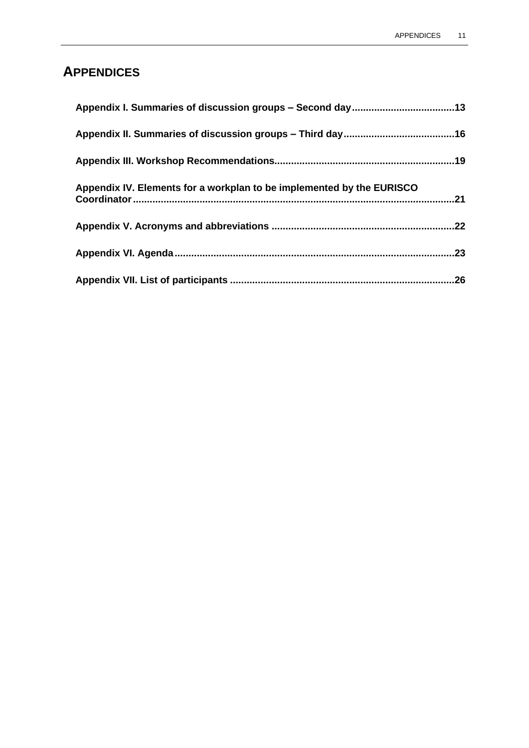# **APPENDICES**

| Appendix IV. Elements for a workplan to be implemented by the EURISCO |  |
|-----------------------------------------------------------------------|--|
|                                                                       |  |
|                                                                       |  |
|                                                                       |  |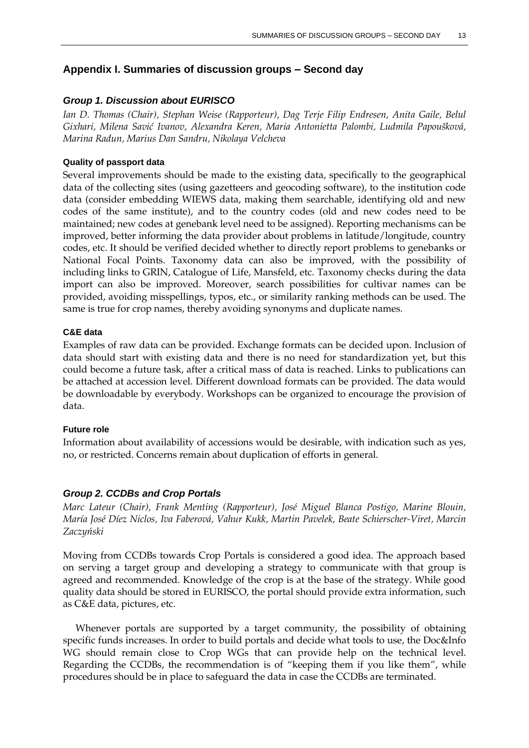### **Appendix I. Summaries of discussion groups – Second day**

#### *Group 1. Discussion about EURISCO*

*Ian D. Thomas (Chair), Stephan Weise (Rapporteur), Dag Terje Filip Endresen, Anita Gaile, Belul Gixhari, Milena Savić Ivanov, Alexandra Keren, Maria Antonietta Palombi, Ludmila Papoušková, Marina Radun, Marius Dan Sandru, Nikolaya Velcheva*

#### **Quality of passport data**

Several improvements should be made to the existing data, specifically to the geographical data of the collecting sites (using gazetteers and geocoding software), to the institution code data (consider embedding WIEWS data, making them searchable, identifying old and new codes of the same institute), and to the country codes (old and new codes need to be maintained; new codes at genebank level need to be assigned). Reporting mechanisms can be improved, better informing the data provider about problems in latitude/longitude, country codes, etc. It should be verified decided whether to directly report problems to genebanks or National Focal Points. Taxonomy data can also be improved, with the possibility of including links to GRIN, Catalogue of Life, Mansfeld, etc. Taxonomy checks during the data import can also be improved. Moreover, search possibilities for cultivar names can be provided, avoiding misspellings, typos, etc., or similarity ranking methods can be used. The same is true for crop names, thereby avoiding synonyms and duplicate names.

#### **C&E data**

Examples of raw data can be provided. Exchange formats can be decided upon. Inclusion of data should start with existing data and there is no need for standardization yet, but this could become a future task, after a critical mass of data is reached. Links to publications can be attached at accession level. Different download formats can be provided. The data would be downloadable by everybody. Workshops can be organized to encourage the provision of data.

#### **Future role**

Information about availability of accessions would be desirable, with indication such as yes, no, or restricted. Concerns remain about duplication of efforts in general.

#### *Group 2. CCDBs and Crop Portals*

*Marc Lateur (Chair), Frank Menting (Rapporteur), José Miguel Blanca Postigo, Marine Blouin, María José Díez Niclos, Iva Faberová, Vahur Kukk, Martin Pavelek, Beate Schierscher-Viret, Marcin Zaczyński*

Moving from CCDBs towards Crop Portals is considered a good idea. The approach based on serving a target group and developing a strategy to communicate with that group is agreed and recommended. Knowledge of the crop is at the base of the strategy. While good quality data should be stored in EURISCO, the portal should provide extra information, such as C&E data, pictures, etc.

Whenever portals are supported by a target community, the possibility of obtaining specific funds increases. In order to build portals and decide what tools to use, the Doc&Info WG should remain close to Crop WGs that can provide help on the technical level. Regarding the CCDBs, the recommendation is of "keeping them if you like them", while procedures should be in place to safeguard the data in case the CCDBs are terminated.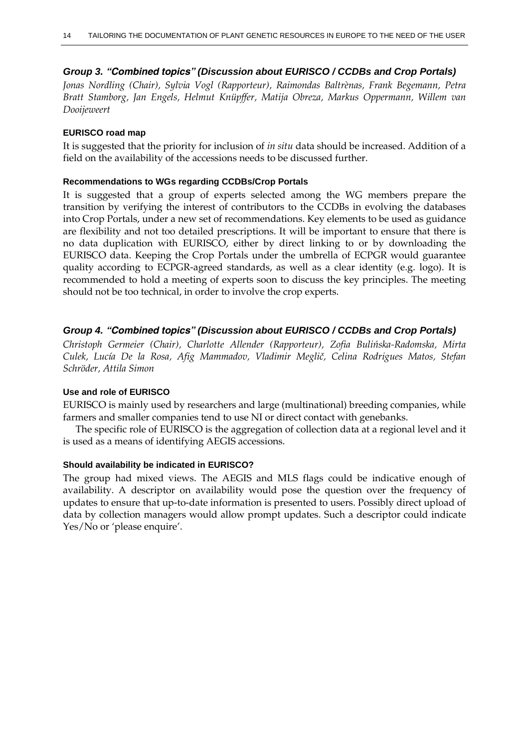### *Group 3. "Combined topics" (Discussion about EURISCO / CCDBs and Crop Portals)*

*Jonas Nordling (Chair), Sylvia Vogl (Rapporteur), Raimondas Baltrènas, Frank Begemann, Petra Bratt Stamborg, Jan Engels, Helmut Knüpffer, Matija Obreza, Markus Oppermann, Willem van Dooijeweert*

#### **EURISCO road map**

It is suggested that the priority for inclusion of *in situ* data should be increased. Addition of a field on the availability of the accessions needs to be discussed further.

#### **Recommendations to WGs regarding CCDBs/Crop Portals**

It is suggested that a group of experts selected among the WG members prepare the transition by verifying the interest of contributors to the CCDBs in evolving the databases into Crop Portals, under a new set of recommendations. Key elements to be used as guidance are flexibility and not too detailed prescriptions. It will be important to ensure that there is no data duplication with EURISCO, either by direct linking to or by downloading the EURISCO data. Keeping the Crop Portals under the umbrella of ECPGR would guarantee quality according to ECPGR-agreed standards, as well as a clear identity (e.g. logo). It is recommended to hold a meeting of experts soon to discuss the key principles. The meeting should not be too technical, in order to involve the crop experts.

### *Group 4. "Combined topics" (Discussion about EURISCO / CCDBs and Crop Portals)*

*Christoph Germeier (Chair), Charlotte Allender (Rapporteur), Zofia Bulińska-Radomska, Mirta Culek, Lucía De la Rosa, Afig Mammadov, Vladimir Meglič, Celina Rodrigues Matos, Stefan Schröder, Attila Simon*

#### **Use and role of EURISCO**

EURISCO is mainly used by researchers and large (multinational) breeding companies, while farmers and smaller companies tend to use NI or direct contact with genebanks.

The specific role of EURISCO is the aggregation of collection data at a regional level and it is used as a means of identifying AEGIS accessions.

#### **Should availability be indicated in EURISCO?**

The group had mixed views. The AEGIS and MLS flags could be indicative enough of availability. A descriptor on availability would pose the question over the frequency of updates to ensure that up-to-date information is presented to users. Possibly direct upload of data by collection managers would allow prompt updates. Such a descriptor could indicate Yes/No or 'please enquire'.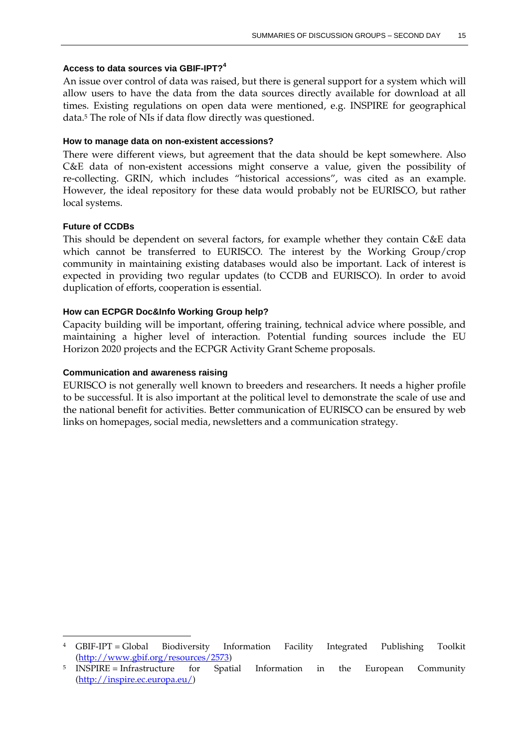### **Access to data sources via GBIF-IPT?<sup>4</sup>**

An issue over control of data was raised, but there is general support for a system which will allow users to have the data from the data sources directly available for download at all times. Existing regulations on open data were mentioned, e.g. INSPIRE for geographical data.<sup>5</sup> The role of NIs if data flow directly was questioned.

#### **How to manage data on non-existent accessions?**

There were different views, but agreement that the data should be kept somewhere. Also C&E data of non-existent accessions might conserve a value, given the possibility of re-collecting. GRIN, which includes "historical accessions", was cited as an example. However, the ideal repository for these data would probably not be EURISCO, but rather local systems.

#### **Future of CCDBs**

 $\overline{a}$ 

This should be dependent on several factors, for example whether they contain C&E data which cannot be transferred to EURISCO. The interest by the Working Group/crop community in maintaining existing databases would also be important. Lack of interest is expected in providing two regular updates (to CCDB and EURISCO). In order to avoid duplication of efforts, cooperation is essential.

#### **How can ECPGR Doc&Info Working Group help?**

Capacity building will be important, offering training, technical advice where possible, and maintaining a higher level of interaction. Potential funding sources include the EU Horizon 2020 projects and the ECPGR Activity Grant Scheme proposals.

#### **Communication and awareness raising**

EURISCO is not generally well known to breeders and researchers. It needs a higher profile to be successful. It is also important at the political level to demonstrate the scale of use and the national benefit for activities. Better communication of EURISCO can be ensured by web links on homepages, social media, newsletters and a communication strategy.

<sup>4</sup> GBIF-IPT = Global Biodiversity Information Facility Integrated Publishing Toolkit [\(http://www.gbif.org/resources/2573\)](http://www.gbif.org/resources/2573)

<sup>5</sup> INSPIRE = Infrastructure for Spatial Information in the European Community [\(http://inspire.ec.europa.eu/\)](http://inspire.ec.europa.eu/)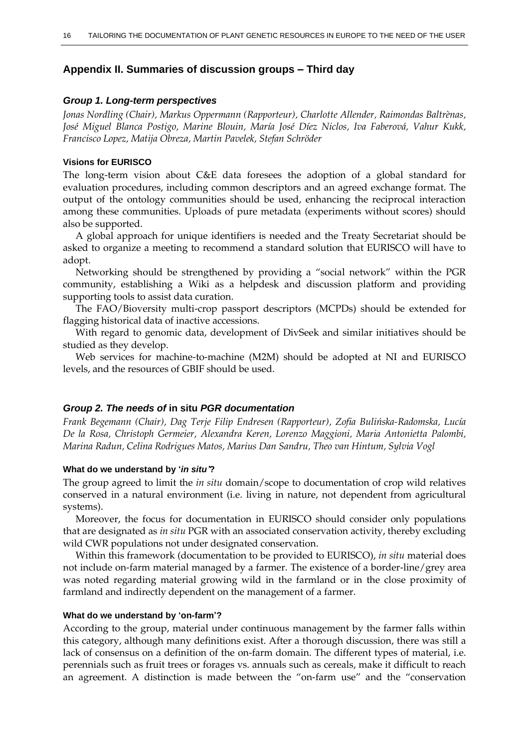### **Appendix II. Summaries of discussion groups – Third day**

#### *Group 1. Long-term perspectives*

*Jonas Nordling (Chair), Markus Oppermann (Rapporteur), Charlotte Allender, Raimondas Baltrènas, José Miguel Blanca Postigo, Marine Blouin, María José Díez Niclos, Iva Faberová, Vahur Kukk, Francisco Lopez, Matija Obreza, Martin Pavelek, Stefan Schröder*

#### **Visions for EURISCO**

The long-term vision about C&E data foresees the adoption of a global standard for evaluation procedures, including common descriptors and an agreed exchange format. The output of the ontology communities should be used, enhancing the reciprocal interaction among these communities. Uploads of pure metadata (experiments without scores) should also be supported.

A global approach for unique identifiers is needed and the Treaty Secretariat should be asked to organize a meeting to recommend a standard solution that EURISCO will have to adopt.

Networking should be strengthened by providing a "social network" within the PGR community, establishing a Wiki as a helpdesk and discussion platform and providing supporting tools to assist data curation.

The FAO/Bioversity multi-crop passport descriptors (MCPDs) should be extended for flagging historical data of inactive accessions.

With regard to genomic data, development of DivSeek and similar initiatives should be studied as they develop.

Web services for machine-to-machine (M2M) should be adopted at NI and EURISCO levels, and the resources of GBIF should be used.

#### *Group 2. The needs of* **in situ** *PGR documentation*

*Frank Begemann (Chair), Dag Terje Filip Endresen (Rapporteur), Zofia Bulińska-Radomska, Lucía De la Rosa, Christoph Germeier, Alexandra Keren, Lorenzo Maggioni, Maria Antonietta Palombi, Marina Radun, Celina Rodrigues Matos, Marius Dan Sandru, Theo van Hintum, Sylvia Vogl*

#### **What do we understand by '***in situ'***?**

The group agreed to limit the *in situ* domain/scope to documentation of crop wild relatives conserved in a natural environment (i.e. living in nature, not dependent from agricultural systems).

Moreover, the focus for documentation in EURISCO should consider only populations that are designated as *in situ* PGR with an associated conservation activity, thereby excluding wild CWR populations not under designated conservation.

Within this framework (documentation to be provided to EURISCO), *in situ* material does not include on-farm material managed by a farmer. The existence of a border-line/grey area was noted regarding material growing wild in the farmland or in the close proximity of farmland and indirectly dependent on the management of a farmer.

#### **What do we understand by 'on-farm'?**

According to the group, material under continuous management by the farmer falls within this category, although many definitions exist. After a thorough discussion, there was still a lack of consensus on a definition of the on-farm domain. The different types of material, i.e. perennials such as fruit trees or forages vs. annuals such as cereals, make it difficult to reach an agreement. A distinction is made between the "on-farm use" and the "conservation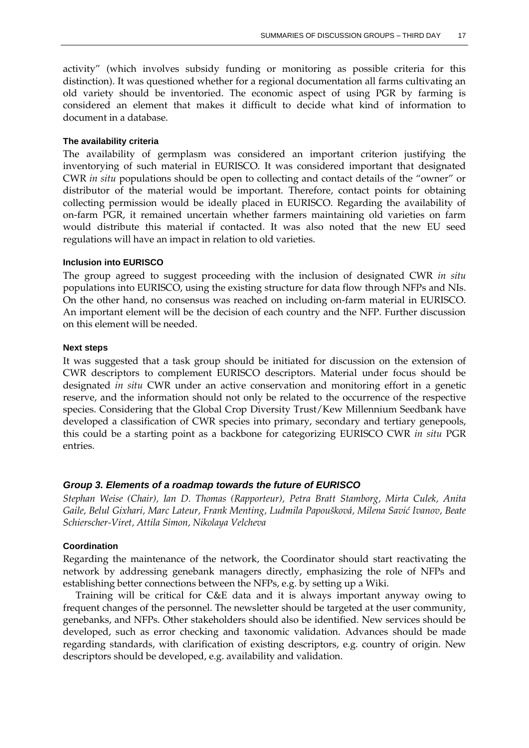activity" (which involves subsidy funding or monitoring as possible criteria for this distinction). It was questioned whether for a regional documentation all farms cultivating an old variety should be inventoried. The economic aspect of using PGR by farming is considered an element that makes it difficult to decide what kind of information to document in a database.

### **The availability criteria**

The availability of germplasm was considered an important criterion justifying the inventorying of such material in EURISCO. It was considered important that designated CWR *in situ* populations should be open to collecting and contact details of the "owner" or distributor of the material would be important. Therefore, contact points for obtaining collecting permission would be ideally placed in EURISCO. Regarding the availability of on-farm PGR, it remained uncertain whether farmers maintaining old varieties on farm would distribute this material if contacted. It was also noted that the new EU seed regulations will have an impact in relation to old varieties.

#### **Inclusion into EURISCO**

The group agreed to suggest proceeding with the inclusion of designated CWR *in situ* populations into EURISCO, using the existing structure for data flow through NFPs and NIs. On the other hand, no consensus was reached on including on-farm material in EURISCO. An important element will be the decision of each country and the NFP. Further discussion on this element will be needed.

#### **Next steps**

It was suggested that a task group should be initiated for discussion on the extension of CWR descriptors to complement EURISCO descriptors. Material under focus should be designated *in situ* CWR under an active conservation and monitoring effort in a genetic reserve, and the information should not only be related to the occurrence of the respective species. Considering that the Global Crop Diversity Trust/Kew Millennium Seedbank have developed a classification of CWR species into primary, secondary and tertiary genepools, this could be a starting point as a backbone for categorizing EURISCO CWR *in situ* PGR entries.

### *Group 3. Elements of a roadmap towards the future of EURISCO*

*Stephan Weise (Chair), Ian D. Thomas (Rapporteur), Petra Bratt Stamborg, Mirta Culek, Anita Gaile, Belul Gixhari, Marc Lateur, Frank Menting, Ludmila Papoušková, Milena Savić Ivanov, Beate Schierscher-Viret, Attila Simon, Nikolaya Velcheva*

### **Coordination**

Regarding the maintenance of the network, the Coordinator should start reactivating the network by addressing genebank managers directly, emphasizing the role of NFPs and establishing better connections between the NFPs, e.g. by setting up a Wiki.

Training will be critical for C&E data and it is always important anyway owing to frequent changes of the personnel. The newsletter should be targeted at the user community, genebanks, and NFPs. Other stakeholders should also be identified. New services should be developed, such as error checking and taxonomic validation. Advances should be made regarding standards, with clarification of existing descriptors, e.g. country of origin. New descriptors should be developed, e.g. availability and validation.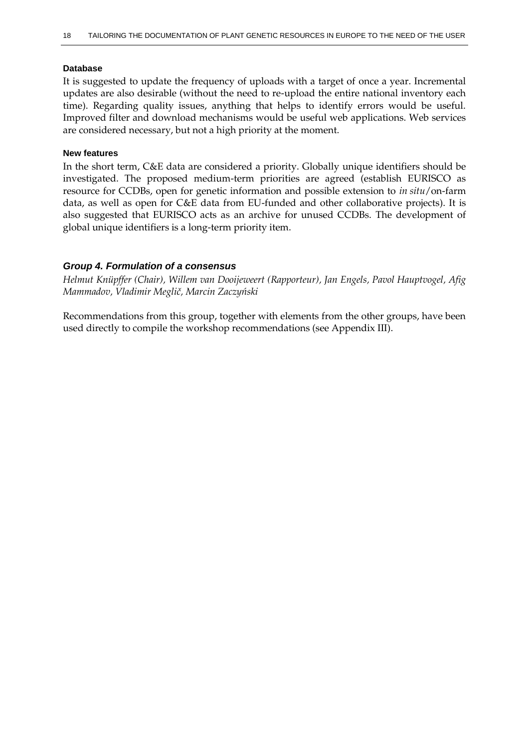### **Database**

It is suggested to update the frequency of uploads with a target of once a year. Incremental updates are also desirable (without the need to re-upload the entire national inventory each time). Regarding quality issues, anything that helps to identify errors would be useful. Improved filter and download mechanisms would be useful web applications. Web services are considered necessary, but not a high priority at the moment.

#### **New features**

In the short term, C&E data are considered a priority. Globally unique identifiers should be investigated. The proposed medium-term priorities are agreed (establish EURISCO as resource for CCDBs, open for genetic information and possible extension to *in situ*/on-farm data, as well as open for C&E data from EU-funded and other collaborative projects). It is also suggested that EURISCO acts as an archive for unused CCDBs. The development of global unique identifiers is a long-term priority item.

### *Group 4. Formulation of a consensus*

*Helmut Knüpffer (Chair), Willem van Dooijeweert (Rapporteur), Jan Engels, Pavol Hauptvogel, Afig Mammadov, Vladimir Meglič, Marcin Zaczyński*

Recommendations from this group, together with elements from the other groups, have been used directly to compile the workshop recommendations (see Appendix III).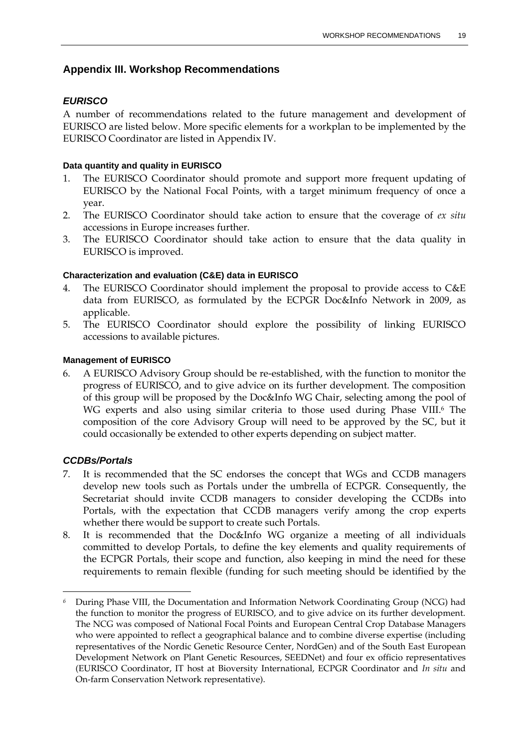### **Appendix III. Workshop Recommendations**

### *EURISCO*

A number of recommendations related to the future management and development of EURISCO are listed below. More specific elements for a workplan to be implemented by the EURISCO Coordinator are listed in Appendix IV.

### **Data quantity and quality in EURISCO**

- 1. The EURISCO Coordinator should promote and support more frequent updating of EURISCO by the National Focal Points, with a target minimum frequency of once a year.
- 2. The EURISCO Coordinator should take action to ensure that the coverage of *ex situ* accessions in Europe increases further.
- 3. The EURISCO Coordinator should take action to ensure that the data quality in EURISCO is improved.

### **Characterization and evaluation (C&E) data in EURISCO**

- The EURISCO Coordinator should implement the proposal to provide access to C&E data from EURISCO, as formulated by the ECPGR Doc&Info Network in 2009, as applicable.
- 5. The EURISCO Coordinator should explore the possibility of linking EURISCO accessions to available pictures.

### **Management of EURISCO**

6. A EURISCO Advisory Group should be re-established, with the function to monitor the progress of EURISCO, and to give advice on its further development. The composition of this group will be proposed by the Doc&Info WG Chair, selecting among the pool of WG experts and also using similar criteria to those used during Phase VIII.<sup>6</sup> The composition of the core Advisory Group will need to be approved by the SC, but it could occasionally be extended to other experts depending on subject matter.

### *CCDBs/Portals*

 $\ddot{\phantom{a}}$ 

- 7. It is recommended that the SC endorses the concept that WGs and CCDB managers develop new tools such as Portals under the umbrella of ECPGR. Consequently, the Secretariat should invite CCDB managers to consider developing the CCDBs into Portals, with the expectation that CCDB managers verify among the crop experts whether there would be support to create such Portals.
- 8. It is recommended that the Doc&Info WG organize a meeting of all individuals committed to develop Portals, to define the key elements and quality requirements of the ECPGR Portals, their scope and function, also keeping in mind the need for these requirements to remain flexible (funding for such meeting should be identified by the

*<sup>6</sup>* During Phase VIII, the Documentation and Information Network Coordinating Group (NCG) had the function to monitor the progress of EURISCO, and to give advice on its further development. The NCG was composed of National Focal Points and European Central Crop Database Managers who were appointed to reflect a geographical balance and to combine diverse expertise (including representatives of the Nordic Genetic Resource Center, NordGen) and of the South East European Development Network on Plant Genetic Resources, SEEDNet) and four ex officio representatives (EURISCO Coordinator, IT host at Bioversity International, ECPGR Coordinator and *In situ* and On-farm Conservation Network representative).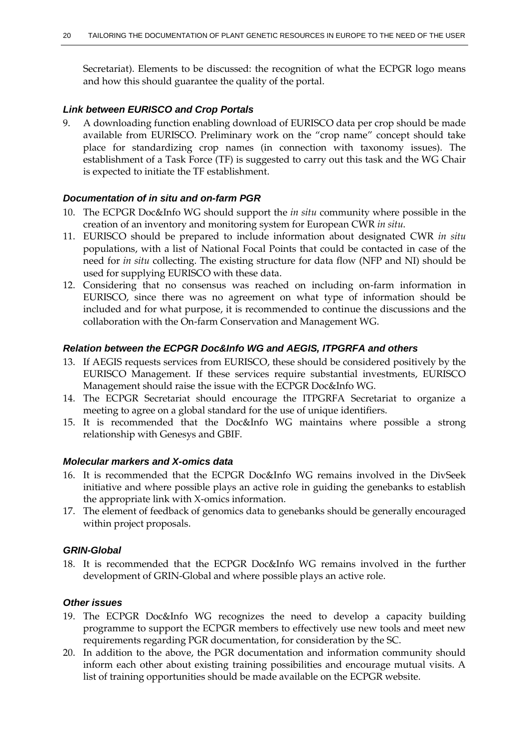Secretariat). Elements to be discussed: the recognition of what the ECPGR logo means and how this should guarantee the quality of the portal.

### *Link between EURISCO and Crop Portals*

9. A downloading function enabling download of EURISCO data per crop should be made available from EURISCO. Preliminary work on the "crop name" concept should take place for standardizing crop names (in connection with taxonomy issues). The establishment of a Task Force (TF) is suggested to carry out this task and the WG Chair is expected to initiate the TF establishment.

#### *Documentation of in situ and on-farm PGR*

- 10. The ECPGR Doc&Info WG should support the *in situ* community where possible in the creation of an inventory and monitoring system for European CWR *in situ*.
- 11. EURISCO should be prepared to include information about designated CWR *in situ* populations, with a list of National Focal Points that could be contacted in case of the need for *in situ* collecting. The existing structure for data flow (NFP and NI) should be used for supplying EURISCO with these data.
- 12. Considering that no consensus was reached on including on-farm information in EURISCO, since there was no agreement on what type of information should be included and for what purpose, it is recommended to continue the discussions and the collaboration with the On-farm Conservation and Management WG.

#### *Relation between the ECPGR Doc&Info WG and AEGIS, ITPGRFA and others*

- 13. If AEGIS requests services from EURISCO, these should be considered positively by the EURISCO Management. If these services require substantial investments, EURISCO Management should raise the issue with the ECPGR Doc&Info WG.
- 14. The ECPGR Secretariat should encourage the ITPGRFA Secretariat to organize a meeting to agree on a global standard for the use of unique identifiers.
- 15. It is recommended that the Doc&Info WG maintains where possible a strong relationship with Genesys and GBIF.

### *Molecular markers and X-omics data*

- 16. It is recommended that the ECPGR Doc&Info WG remains involved in the DivSeek initiative and where possible plays an active role in guiding the genebanks to establish the appropriate link with X-omics information.
- 17. The element of feedback of genomics data to genebanks should be generally encouraged within project proposals.

### *GRIN-Global*

18. It is recommended that the ECPGR Doc&Info WG remains involved in the further development of GRIN-Global and where possible plays an active role.

#### *Other issues*

- 19. The ECPGR Doc&Info WG recognizes the need to develop a capacity building programme to support the ECPGR members to effectively use new tools and meet new requirements regarding PGR documentation, for consideration by the SC.
- 20. In addition to the above, the PGR documentation and information community should inform each other about existing training possibilities and encourage mutual visits. A list of training opportunities should be made available on the ECPGR website.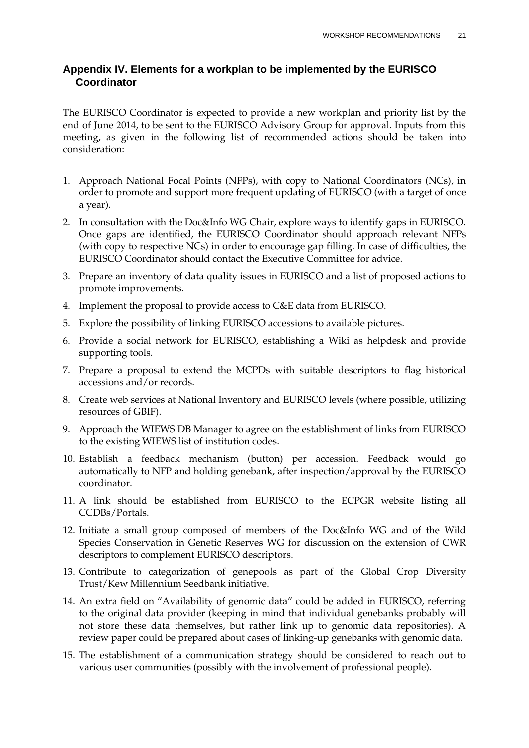### **Appendix IV. Elements for a workplan to be implemented by the EURISCO Coordinator**

The EURISCO Coordinator is expected to provide a new workplan and priority list by the end of June 2014, to be sent to the EURISCO Advisory Group for approval. Inputs from this meeting, as given in the following list of recommended actions should be taken into consideration:

- 1. Approach National Focal Points (NFPs), with copy to National Coordinators (NCs), in order to promote and support more frequent updating of EURISCO (with a target of once a year).
- 2. In consultation with the Doc&Info WG Chair, explore ways to identify gaps in EURISCO. Once gaps are identified, the EURISCO Coordinator should approach relevant NFPs (with copy to respective NCs) in order to encourage gap filling. In case of difficulties, the EURISCO Coordinator should contact the Executive Committee for advice.
- 3. Prepare an inventory of data quality issues in EURISCO and a list of proposed actions to promote improvements.
- 4. Implement the proposal to provide access to C&E data from EURISCO.
- 5. Explore the possibility of linking EURISCO accessions to available pictures.
- 6. Provide a social network for EURISCO, establishing a Wiki as helpdesk and provide supporting tools.
- 7. Prepare a proposal to extend the MCPDs with suitable descriptors to flag historical accessions and/or records.
- 8. Create web services at National Inventory and EURISCO levels (where possible, utilizing resources of GBIF).
- 9. Approach the WIEWS DB Manager to agree on the establishment of links from EURISCO to the existing WIEWS list of institution codes.
- 10. Establish a feedback mechanism (button) per accession. Feedback would go automatically to NFP and holding genebank, after inspection/approval by the EURISCO coordinator.
- 11. A link should be established from EURISCO to the ECPGR website listing all CCDBs/Portals.
- 12. Initiate a small group composed of members of the Doc&Info WG and of the Wild Species Conservation in Genetic Reserves WG for discussion on the extension of CWR descriptors to complement EURISCO descriptors.
- 13. Contribute to categorization of genepools as part of the Global Crop Diversity Trust/Kew Millennium Seedbank initiative.
- 14. An extra field on "Availability of genomic data" could be added in EURISCO, referring to the original data provider (keeping in mind that individual genebanks probably will not store these data themselves, but rather link up to genomic data repositories). A review paper could be prepared about cases of linking-up genebanks with genomic data.
- 15. The establishment of a communication strategy should be considered to reach out to various user communities (possibly with the involvement of professional people).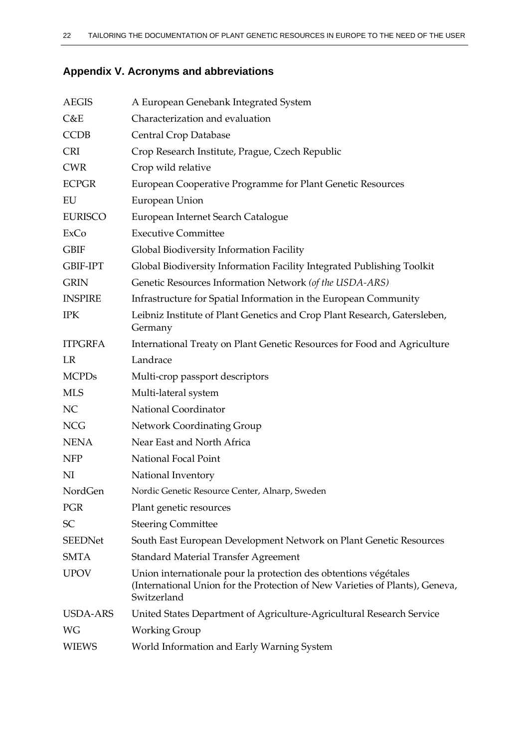# **Appendix V. Acronyms and abbreviations**

| <b>AEGIS</b>    | A European Genebank Integrated System                                                                                                                           |
|-----------------|-----------------------------------------------------------------------------------------------------------------------------------------------------------------|
| C&E             | Characterization and evaluation                                                                                                                                 |
| <b>CCDB</b>     | Central Crop Database                                                                                                                                           |
| <b>CRI</b>      | Crop Research Institute, Prague, Czech Republic                                                                                                                 |
| <b>CWR</b>      | Crop wild relative                                                                                                                                              |
| <b>ECPGR</b>    | European Cooperative Programme for Plant Genetic Resources                                                                                                      |
| EU              | European Union                                                                                                                                                  |
| <b>EURISCO</b>  | European Internet Search Catalogue                                                                                                                              |
| ExCo            | <b>Executive Committee</b>                                                                                                                                      |
| <b>GBIF</b>     | Global Biodiversity Information Facility                                                                                                                        |
| <b>GBIF-IPT</b> | Global Biodiversity Information Facility Integrated Publishing Toolkit                                                                                          |
| <b>GRIN</b>     | Genetic Resources Information Network (of the USDA-ARS)                                                                                                         |
| <b>INSPIRE</b>  | Infrastructure for Spatial Information in the European Community                                                                                                |
| <b>IPK</b>      | Leibniz Institute of Plant Genetics and Crop Plant Research, Gatersleben,<br>Germany                                                                            |
| <b>ITPGRFA</b>  | International Treaty on Plant Genetic Resources for Food and Agriculture                                                                                        |
| LR              | Landrace                                                                                                                                                        |
| <b>MCPDs</b>    | Multi-crop passport descriptors                                                                                                                                 |
| <b>MLS</b>      | Multi-lateral system                                                                                                                                            |
| NC              | National Coordinator                                                                                                                                            |
| <b>NCG</b>      | Network Coordinating Group                                                                                                                                      |
| <b>NENA</b>     | Near East and North Africa                                                                                                                                      |
| <b>NFP</b>      | National Focal Point                                                                                                                                            |
| NI              | National Inventory                                                                                                                                              |
| NordGen         | Nordic Genetic Resource Center, Alnarp, Sweden                                                                                                                  |
| <b>PGR</b>      | Plant genetic resources                                                                                                                                         |
| <b>SC</b>       | <b>Steering Committee</b>                                                                                                                                       |
| <b>SEEDNet</b>  | South East European Development Network on Plant Genetic Resources                                                                                              |
| <b>SMTA</b>     | <b>Standard Material Transfer Agreement</b>                                                                                                                     |
| <b>UPOV</b>     | Union internationale pour la protection des obtentions végétales<br>(International Union for the Protection of New Varieties of Plants), Geneva,<br>Switzerland |
| <b>USDA-ARS</b> | United States Department of Agriculture-Agricultural Research Service                                                                                           |
| WG              | <b>Working Group</b>                                                                                                                                            |
| <b>WIEWS</b>    | World Information and Early Warning System                                                                                                                      |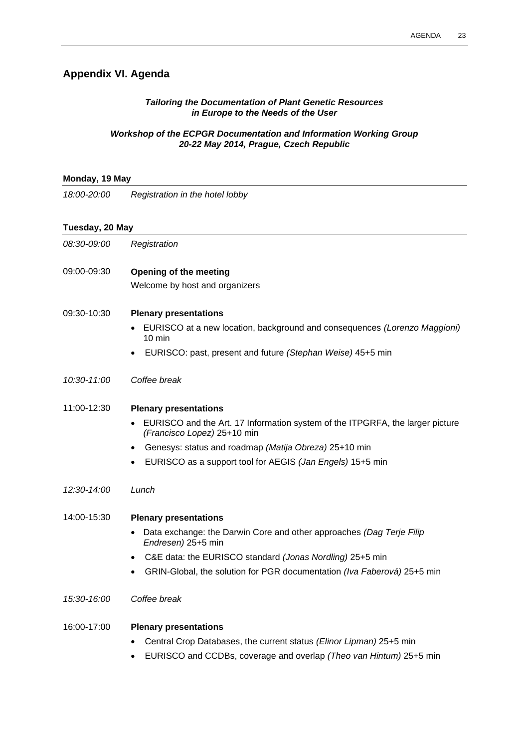## **Appendix VI. Agenda**

### *Tailoring the Documentation of Plant Genetic Resources in Europe to the Needs of the User*

### *Workshop of the ECPGR Documentation and Information Working Group 20-22 May 2014, Prague, Czech Republic*

### **Monday, 19 May**

*18:00-20:00 Registration in the hotel lobby*

### **Tuesday, 20 May**

| 08:30-09:00 | Registration                                                                                                 |
|-------------|--------------------------------------------------------------------------------------------------------------|
| 09:00-09:30 | Opening of the meeting                                                                                       |
|             | Welcome by host and organizers                                                                               |
| 09:30-10:30 | <b>Plenary presentations</b>                                                                                 |
|             | EURISCO at a new location, background and consequences (Lorenzo Maggioni)<br>$10 \text{ min}$                |
|             | EURISCO: past, present and future (Stephan Weise) 45+5 min                                                   |
| 10:30-11:00 | Coffee break                                                                                                 |
| 11:00-12:30 | <b>Plenary presentations</b>                                                                                 |
|             | EURISCO and the Art. 17 Information system of the ITPGRFA, the larger picture<br>(Francisco Lopez) 25+10 min |
|             | Genesys: status and roadmap (Matija Obreza) 25+10 min                                                        |
|             | EURISCO as a support tool for AEGIS (Jan Engels) 15+5 min                                                    |
| 12:30-14:00 | Lunch                                                                                                        |
| 14:00-15:30 | <b>Plenary presentations</b>                                                                                 |
|             | Data exchange: the Darwin Core and other approaches (Dag Terje Filip<br>Endresen) 25+5 min                   |
|             | C&E data: the EURISCO standard (Jonas Nordling) 25+5 min<br>$\bullet$                                        |
|             | GRIN-Global, the solution for PGR documentation (Iva Faberová) 25+5 min                                      |
| 15:30-16:00 | Coffee break                                                                                                 |
| 16:00-17:00 | <b>Plenary presentations</b>                                                                                 |
|             | Central Crop Databases, the current status (Elinor Lipman) 25+5 min                                          |
|             | EURISCO and CCDBs, coverage and overlap (Theo van Hintum) 25+5 min                                           |
|             |                                                                                                              |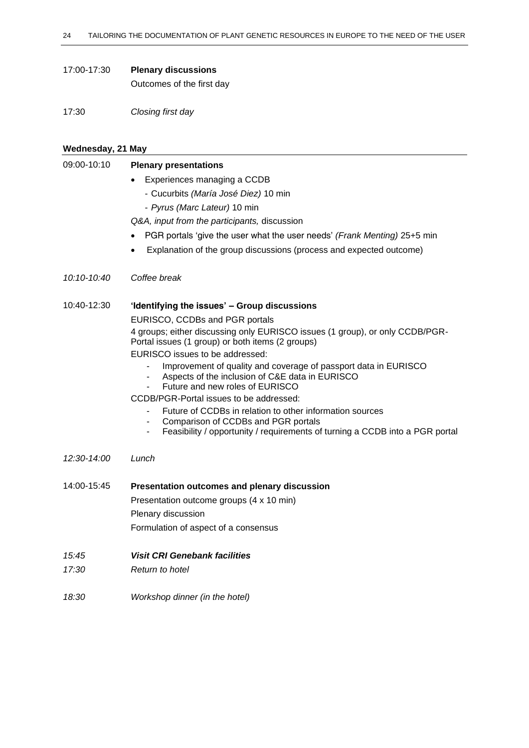#### 17:00-17:30 **Plenary discussions**

Outcomes of the first day

17:30 *Closing first day*

#### **Wednesday, 21 May**

### 09:00-10:10 **Plenary presentations**

- Experiences managing a CCDB
	- Cucurbits *(María José Diez)* 10 min
	- *Pyrus (Marc Lateur)* 10 min

*Q&A, input from the participants,* discussion

- PGR portals 'give the user what the user needs' *(Frank Menting)* 25+5 min
- Explanation of the group discussions (process and expected outcome)
- *10:10-10:40 Coffee break*

### 10:40-12:30 **'Identifying the issues' – Group discussions**

#### EURISCO, CCDBs and PGR portals

4 groups; either discussing only EURISCO issues (1 group), or only CCDB/PGR-Portal issues (1 group) or both items (2 groups)

EURISCO issues to be addressed:

- Improvement of quality and coverage of passport data in EURISCO
- Aspects of the inclusion of C&E data in EURISCO
- Future and new roles of EURISCO

CCDB/PGR-Portal issues to be addressed:

- Future of CCDBs in relation to other information sources
- Comparison of CCDBs and PGR portals
- Feasibility / opportunity / requirements of turning a CCDB into a PGR portal
- *12:30-14:00 Lunch*
- 14:00-15:45 **Presentation outcomes and plenary discussion** Presentation outcome groups (4 x 10 min) Plenary discussion Formulation of aspect of a consensus

#### *15:45 Visit CRI Genebank facilities*

- *17:30 Return to hotel*
- *18:30 Workshop dinner (in the hotel)*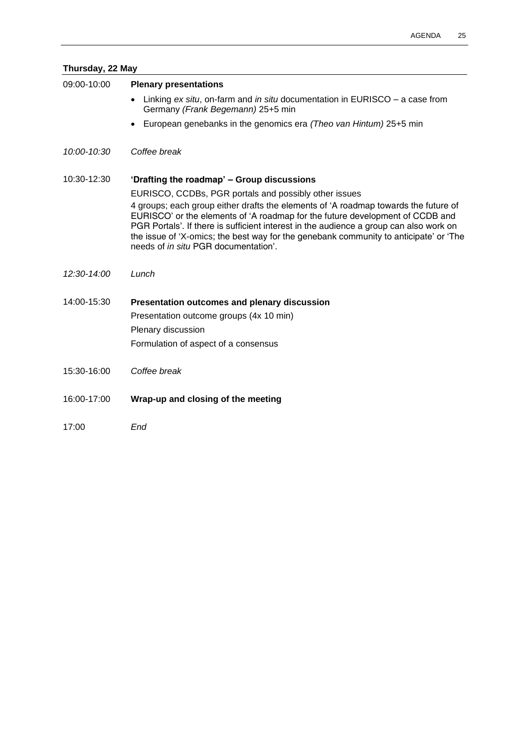|               | Thursday, 22 May                                                                                                                                                                                                                                               |  |  |
|---------------|----------------------------------------------------------------------------------------------------------------------------------------------------------------------------------------------------------------------------------------------------------------|--|--|
| 09:00-10:00   | <b>Plenary presentations</b>                                                                                                                                                                                                                                   |  |  |
|               | Linking ex situ, on-farm and in situ documentation in EURISCO – a case from<br>Germany (Frank Begemann) 25+5 min                                                                                                                                               |  |  |
|               | European genebanks in the genomics era (Theo van Hintum) 25+5 min                                                                                                                                                                                              |  |  |
| 10:00-10:30   | Coffee break                                                                                                                                                                                                                                                   |  |  |
| 10:30-12:30   | 'Drafting the roadmap' - Group discussions                                                                                                                                                                                                                     |  |  |
|               | EURISCO, CCDBs, PGR portals and possibly other issues                                                                                                                                                                                                          |  |  |
|               | 4 groups; each group either drafts the elements of 'A roadmap towards the future of<br>EURISCO' or the elements of 'A roadmap for the future development of CCDB and<br>PGR Portals'. If there is sufficient interest in the audience a group can also work on |  |  |
|               | the issue of 'X-omics; the best way for the genebank community to anticipate' or 'The<br>needs of in situ PGR documentation'.                                                                                                                                  |  |  |
| $12:30-14:00$ | Lunch                                                                                                                                                                                                                                                          |  |  |
| 14:00-15:30   | Presentation outcomes and plenary discussion                                                                                                                                                                                                                   |  |  |
|               | Presentation outcome groups (4x 10 min)                                                                                                                                                                                                                        |  |  |
|               | Plenary discussion                                                                                                                                                                                                                                             |  |  |
|               | Formulation of aspect of a consensus                                                                                                                                                                                                                           |  |  |
| 15:30-16:00   | Coffee break                                                                                                                                                                                                                                                   |  |  |
| 16:00-17:00   | Wrap-up and closing of the meeting                                                                                                                                                                                                                             |  |  |

17:00 *End*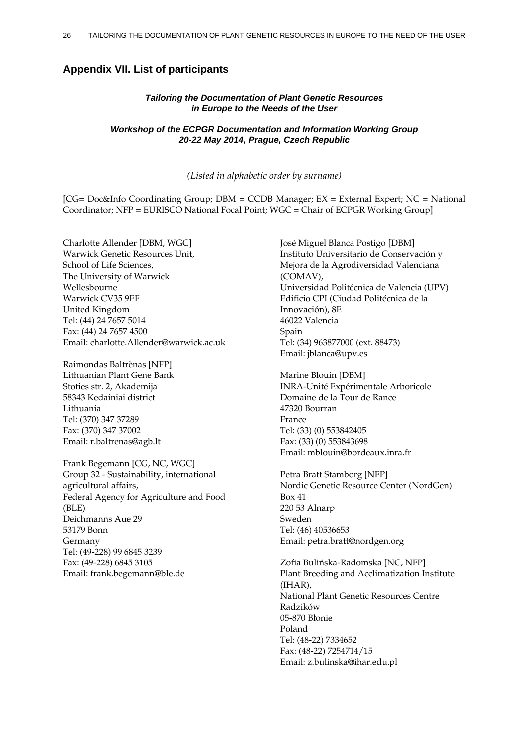### **Appendix VII. List of participants**

#### *Tailoring the Documentation of Plant Genetic Resources in Europe to the Needs of the User*

#### *Workshop of the ECPGR Documentation and Information Working Group 20-22 May 2014, Prague, Czech Republic*

*(Listed in alphabetic order by surname)*

[CG= Doc&Info Coordinating Group; DBM = CCDB Manager; EX = External Expert; NC = National Coordinator; NFP = EURISCO National Focal Point; WGC = Chair of ECPGR Working Group]

Charlotte Allender [DBM, WGC] Warwick Genetic Resources Unit, School of Life Sciences, The University of Warwick Wellesbourne Warwick CV35 9EF United Kingdom Tel: (44) 24 7657 5014 Fax: (44) 24 7657 4500 Email: charlotte.Allender@warwick.ac.uk

Raimondas Baltrènas [NFP] Lithuanian Plant Gene Bank Stoties str. 2, Akademija 58343 Kedainiai district Lithuania Tel: (370) 347 37289 Fax: (370) 347 37002 Email: r.baltrenas@agb.lt

Frank Begemann [CG, NC, WGC] Group 32 - Sustainability, international agricultural affairs, Federal Agency for Agriculture and Food (BLE) Deichmanns Aue 29 53179 Bonn Germany Tel: (49-228) 99 6845 3239 Fax: (49-228) 6845 3105 Email: frank.begemann@ble.de

José Miguel Blanca Postigo [DBM] Instituto Universitario de Conservación y Mejora de la Agrodiversidad Valenciana (COMAV), Universidad Politécnica de Valencia (UPV) Edificio CPI (Ciudad Politécnica de la Innovación), 8E 46022 Valencia Spain Tel: (34) 963877000 (ext. 88473) Email: jblanca@upv.es

Marine Blouin [DBM] INRA-Unité Expérimentale Arboricole Domaine de la Tour de Rance 47320 Bourran France Tel: (33) (0) 553842405 Fax: (33) (0) 553843698 Email: [mblouin@bordeaux.inra.fr](mailto:mblouin@bordeaux.inra.fr)

Petra Bratt Stamborg [NFP] Nordic Genetic Resource Center (NordGen) Box 41 220 53 Alnarp Sweden Tel: (46) 40536653 Email: petra.bratt@nordgen.org

Zofia Bulińska-Radomska [NC, NFP] Plant Breeding and Acclimatization Institute (IHAR), National Plant Genetic Resources Centre Radzików 05-870 Błonie Poland Tel: (48-22) 7334652 Fax: (48-22) 7254714/15 Email: z.bulinska@ihar.edu.pl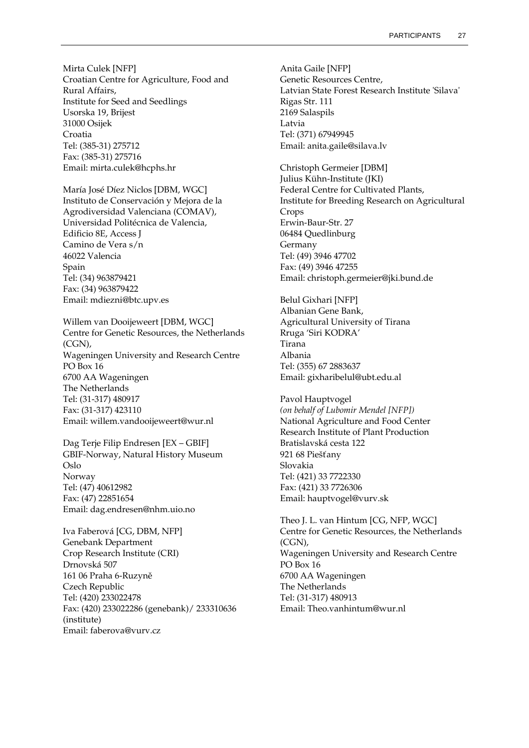Mirta Culek [NFP] Croatian Centre for Agriculture, Food and Rural Affairs, Institute for Seed and Seedlings Usorska 19, Brijest 31000 Osijek Croatia Tel: (385-31) 275712 Fax: (385-31) 275716 Email: mirta.culek@hcphs.hr

María José Díez Niclos [DBM, WGC] Instituto de Conservación y Mejora de la Agrodiversidad Valenciana (COMAV), Universidad Politécnica de Valencia, Edificio 8E, Access J Camino de Vera s/n 46022 Valencia Spain Tel: (34) 963879421 Fax: (34) 963879422 Email: mdiezni@btc.upv.es

Willem van Dooijeweert [DBM, WGC] Centre for Genetic Resources, the Netherlands (CGN), Wageningen University and Research Centre PO Box 16 6700 AA Wageningen The Netherlands Tel: (31-317) 480917 Fax: (31-317) 423110 Email: willem.vandooijeweert@wur.nl

Dag Terje Filip Endresen [EX – GBIF] GBIF-Norway, Natural History Museum Oslo Norway Tel: (47) 40612982 Fax: (47) 22851654 Email: dag.endresen@nhm.uio.no

Iva Faberová [CG, DBM, NFP] Genebank Department Crop Research Institute (CRI) Drnovská 507 161 06 Praha 6-Ruzyně Czech Republic Tel: (420) 233022478 Fax: (420) 233022286 (genebank)/ 233310636 (institute) Email: faberova@vurv.cz

Anita Gaile [NFP] Genetic Resources Centre, Latvian State Forest Research Institute 'Silava' Rigas Str. 111 2169 Salaspils Latvia Tel: (371) 67949945 Email: anita.gaile@silava.lv

Christoph Germeier [DBM] Julius Kühn-Institute (JKI) Federal Centre for Cultivated Plants, Institute for Breeding Research on Agricultural Crops Erwin-Baur-Str. 27 06484 Quedlinburg Germany Tel: (49) 3946 47702 Fax: (49) 3946 47255 Email: christoph.germeier@jki.bund.de

Belul Gixhari [NFP] Albanian Gene Bank, Agricultural University of Tirana Rruga 'Siri KODRA' Tirana Albania Tel: (355) 67 2883637 Email: [gixharibelul@ubt.edu.al](mailto:gixharibelul@ubt.edu.al)

Pavol Hauptvogel *(on behalf of Lubomir Mendel [NFP])* National Agriculture and Food Center Research Institute of Plant Production Bratislavská cesta 122 921 68 Piešťany Slovakia Tel: (421) 33 7722330 Fax: (421) 33 7726306 Email: hauptvogel@vurv.sk

Theo J. L. van Hintum [CG, NFP, WGC] Centre for Genetic Resources, the Netherlands (CGN), Wageningen University and Research Centre PO Box 16 6700 AA Wageningen The Netherlands Tel: (31-317) 480913 Email: Theo.vanhintum@wur.nl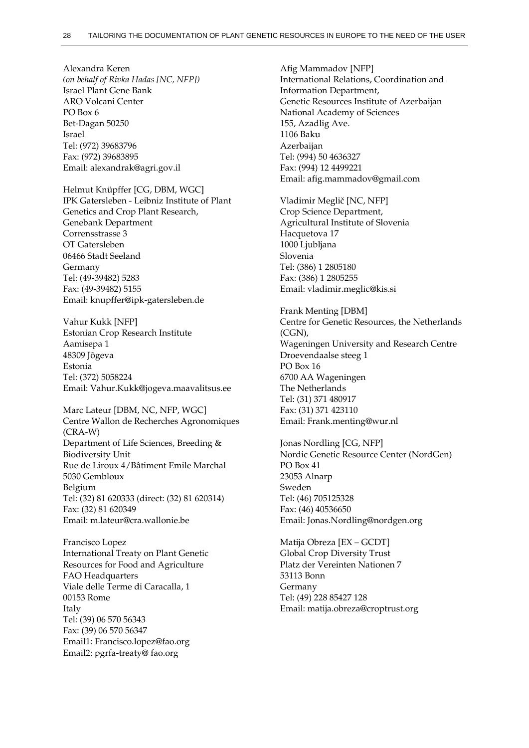Alexandra Keren *(on behalf of Rivka Hadas [NC, NFP])* Israel Plant Gene Bank ARO Volcani Center PO Box 6 Bet-Dagan 50250 Israel Tel: (972) 39683796 Fax: (972) 39683895 Email[: alexandrak@agri.gov.il](mailto:alexandrak@agri.gov.il)

Helmut Knüpffer [CG, DBM, WGC] IPK Gatersleben - Leibniz Institute of Plant Genetics and Crop Plant Research, Genebank Department Corrensstrasse 3 OT Gatersleben 06466 Stadt Seeland Germany Tel: (49-39482) 5283 Fax: (49-39482) 5155 Email: knupffer@ipk-gatersleben.de

Vahur Kukk [NFP] Estonian Crop Research Institute Aamisepa 1 48309 Jõgeva Estonia Tel: (372) 5058224 Email: Vahur.Kukk@jogeva.maavalitsus.ee

Marc Lateur [DBM, NC, NFP, WGC] Centre Wallon de Recherches Agronomiques (CRA-W) Department of Life Sciences, Breeding & Biodiversity Unit Rue de Liroux 4/Bâtiment Emile Marchal 5030 Gembloux Belgium Tel: (32) 81 620333 (direct: (32) 81 620314) Fax: (32) 81 620349 Email: m.lateur@cra.wallonie.be

Francisco Lopez International Treaty on Plant Genetic Resources for Food and Agriculture FAO Headquarters Viale delle Terme di Caracalla, 1 00153 Rome Italy Tel: (39) 06 570 56343 Fax: (39) 06 570 56347 Email1: Francisco.lopez@fao.org Email2: pgrfa-treaty@ fao.org

Afig Mammadov [NFP] International Relations, Coordination and Information Department, Genetic Resources Institute of Azerbaijan National Academy of Sciences 155, Azadlig Ave. 1106 Baku Azerbaijan Tel: (994) 50 4636327 Fax: (994) 12 4499221 Email: [afig.mammadov@gmail.com](mailto:afig.mammadov@gmail.com)

Vladimir Meglič [NC, NFP] Crop Science Department, Agricultural Institute of Slovenia Hacquetova 17 1000 Ljubljana Slovenia Tel: (386) 1 2805180 Fax: (386) 1 2805255 Email: vladimir.meglic@kis.si

Frank Menting [DBM] Centre for Genetic Resources, the Netherlands (CGN), Wageningen University and Research Centre Droevendaalse steeg 1 PO Box 16 6700 AA Wageningen The Netherlands Tel: (31) 371 480917 Fax: (31) 371 423110 Email: Frank.menting@wur.nl

Jonas Nordling [CG, NFP] Nordic Genetic Resource Center (NordGen) PO Box 41 23053 Alnarp Sweden Tel: (46) 705125328 Fax: (46) 40536650 Email: Jonas.Nordling@nordgen.org

Matija Obreza [EX – GCDT] Global Crop Diversity Trust Platz der Vereinten Nationen 7 53113 Bonn Germany Tel: (49) 228 85427 128 Email: matija.obreza@croptrust.org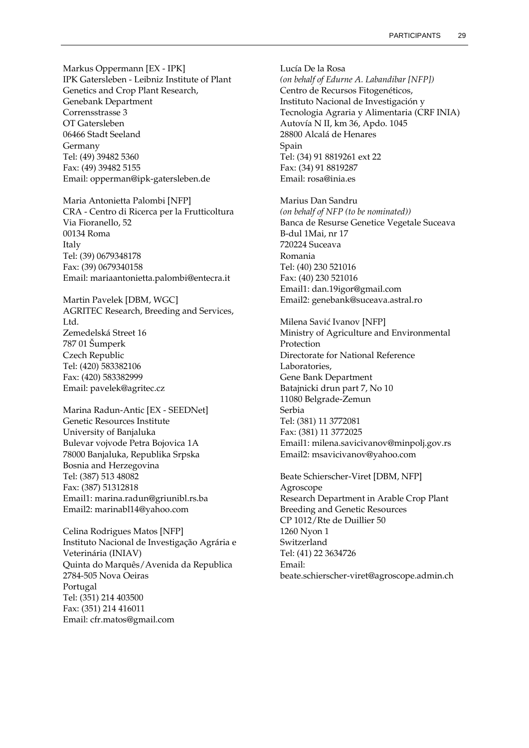Markus Oppermann [EX - IPK] IPK Gatersleben - Leibniz Institute of Plant Genetics and Crop Plant Research, Genebank Department Corrensstrasse 3 OT Gatersleben 06466 Stadt Seeland Germany Tel: (49) 39482 5360 Fax: (49) 39482 5155 Email: opperman@ipk-gatersleben.de

Maria Antonietta Palombi [NFP] CRA - Centro di Ricerca per la Frutticoltura Via Fioranello, 52 00134 Roma Italy Tel: (39) 0679348178 Fax: (39) 0679340158 Email: mariaantonietta.palombi@entecra.it

Martin Pavelek [DBM, WGC] AGRITEC Research, Breeding and Services, Ltd. Zemedelská Street 16 787 01 Šumperk Czech Republic Tel: (420) 583382106 Fax: (420) 583382999 Email: pavelek@agritec.cz

Marina Radun-Antic [EX - SEEDNet] Genetic Resources Institute University of Banjaluka Bulevar vojvode Petra Bojovica 1A 78000 Banjaluka, Republika Srpska Bosnia and Herzegovina Tel: (387) 513 48082 Fax: (387) 51312818 Email1: marina.radun@griunibl.rs.ba Email2: marinabl14@yahoo.com

Celina Rodrigues Matos [NFP] Instituto Nacional de Investigação Agrária e Veterinária (INIAV) Quinta do Marquês/Avenida da Republica 2784-505 Nova Oeiras Portugal Tel: (351) 214 403500 Fax: (351) 214 416011 Email: cfr.matos@gmail.com

Lucía De la Rosa *(on behalf of Edurne A. Labandibar [NFP])* Centro de Recursos Fitogenéticos, Instituto Nacional de Investigación y Tecnologia Agraria y Alimentaria (CRF INIA) Autovía N II, km 36, Apdo. 1045 28800 Alcalá de Henares Spain Tel: (34) 91 8819261 ext 22 Fax: (34) 91 8819287 Email: rosa@inia.es

Marius Dan Sandru *(on behalf of NFP (to be nominated))* Banca de Resurse Genetice Vegetale Suceava B-dul 1Mai, nr 17 720224 Suceava Romania Tel: (40) 230 521016 Fax: (40) 230 521016 Email1: dan.19igor@gmail.com Email2: genebank@suceava.astral.ro

Milena Savić Ivanov [NFP] Ministry of Agriculture and Environmental Protection Directorate for National Reference Laboratories, Gene Bank Department Batajnicki drun part 7, No 10 11080 Belgrade-Zemun Serbia Tel: (381) 11 3772081 Fax: (381) 11 3772025 Email1: milena.savicivanov@minpolj.gov.rs Email2: msavicivanov@yahoo.com

Beate Schierscher-Viret [DBM, NFP] Agroscope Research Department in Arable Crop Plant Breeding and Genetic Resources CP 1012/Rte de Duillier 50 1260 Nyon 1 Switzerland Tel: (41) 22 3634726 Email: beate.schierscher-viret@agroscope.admin.ch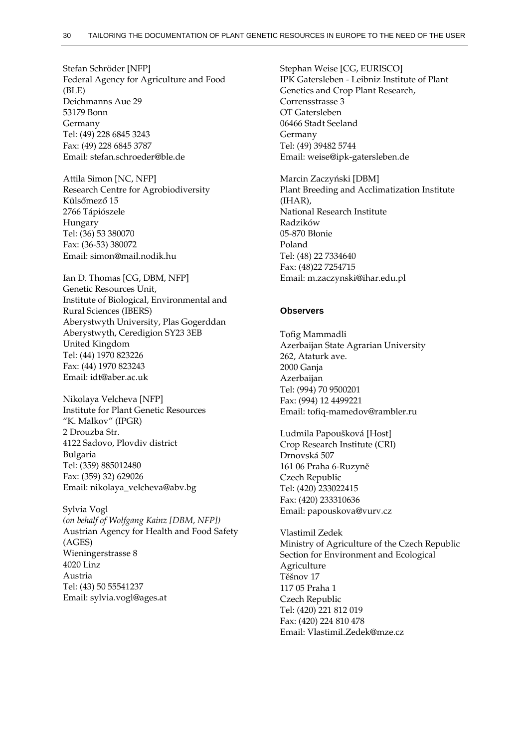Stefan Schröder [NFP] Federal Agency for Agriculture and Food (BLE) Deichmanns Aue 29 53179 Bonn Germany Tel: (49) 228 6845 3243 Fax: (49) 228 6845 3787 Email: stefan.schroeder@ble.de

Attila Simon [NC, NFP] Research Centre for Agrobiodiversity Külsőmező 15 2766 Tápiószele Hungary Tel: (36) 53 380070 Fax: (36-53) 380072 Email: simon@mail.nodik.hu

Ian D. Thomas [CG, DBM, NFP] Genetic Resources Unit, Institute of Biological, Environmental and Rural Sciences (IBERS) Aberystwyth University, Plas Gogerddan Aberystwyth, Ceredigion SY23 3EB United Kingdom Tel: (44) 1970 823226 Fax: (44) 1970 823243 Email: idt@aber.ac.uk

Nikolaya Velcheva [NFP] Institute for Plant Genetic Resources "K. Malkov" (IPGR) 2 Drouzba Str. 4122 Sadovo, Plovdiv district Bulgaria Tel: (359) 885012480 Fax: (359) 32) 629026 Email: nikolaya\_velcheva@abv.bg

Sylvia Vogl *(on behalf of Wolfgang Kainz [DBM, NFP])* Austrian Agency for Health and Food Safety (AGES) Wieningerstrasse 8 4020 Linz Austria Tel: (43) 50 55541237 Email: sylvia.vogl@ages.at

Stephan Weise [CG, EURISCO] IPK Gatersleben - Leibniz Institute of Plant Genetics and Crop Plant Research, Corrensstrasse 3 OT Gatersleben 06466 Stadt Seeland Germany Tel: (49) 39482 5744 Email: weise@ipk-gatersleben.de

Marcin Zaczyński [DBM] Plant Breeding and Acclimatization Institute (IHAR), National Research Institute Radzików 05-870 Błonie Poland Tel: (48) 22 7334640 Fax: (48)22 7254715 Email: m.zaczynski@ihar.edu.pl

#### **Observers**

Tofig Mammadli Azerbaijan State Agrarian University 262, Ataturk ave. 2000 Ganja Azerbaijan Tel: (994) 70 9500201 Fax: (994) 12 4499221 Email: tofiq-mamedov@rambler.ru

Ludmila Papoušková [Host] Crop Research Institute (CRI) Drnovská 507 161 06 Praha 6-Ruzyně Czech Republic Tel: (420) 233022415 Fax: (420) 233310636 Email: papouskova@vurv.cz

Vlastimil Zedek Ministry of Agriculture of the Czech Republic Section for Environment and Ecological Agriculture Těšnov 17 117 05 Praha 1 Czech Republic Tel: (420) 221 812 019 Fax: (420) 224 810 478 Email: [Vlastimil.Zedek@mze.cz](mailto:Vlastimil.Zedek@mze.cz)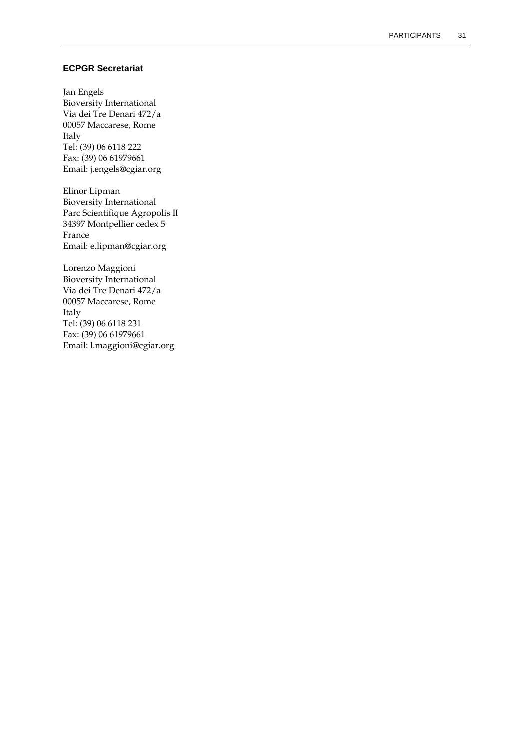### **ECPGR Secretariat**

Jan Engels Bioversity International Via dei Tre Denari 472/a 00057 Maccarese, Rome Italy Tel: (39) 06 6118 222 Fax: (39) 06 61979661 Email: j.engels@cgiar.org

Elinor Lipman Bioversity International Parc Scientifique Agropolis II 34397 Montpellier cedex 5 France Email: e.lipman@cgiar.org

Lorenzo Maggioni Bioversity International Via dei Tre Denari 472/a 00057 Maccarese, Rome Italy Tel: (39) 06 6118 231 Fax: (39) 06 61979661 Email: l.maggioni@cgiar.org